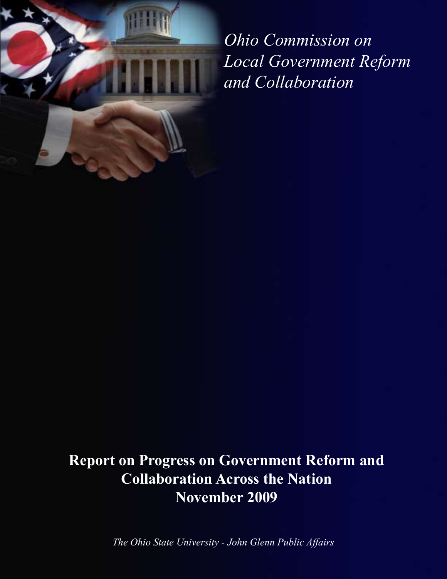

*Ohio Commission on Local Government Reform and Collaboration*

# **Report on Progress on Government Reform and Collaboration Across the Nation November 2009**

*The Ohio State University - John Glenn Public Affairs*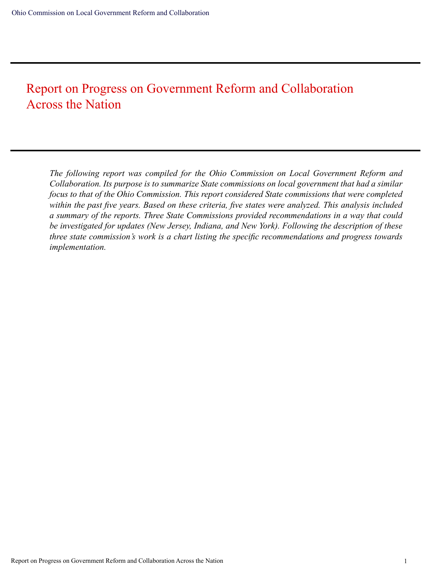## Report on Progress on Government Reform and Collaboration Across the Nation

*The following report was compiled for the Ohio Commission on Local Government Reform and Collaboration. Its purpose is to summarize State commissions on local government that had a similar focus to that of the Ohio Commission. This report considered State commissions that were completed within the past five years. Based on these criteria, five states were analyzed. This analysis included a summary of the reports. Three State Commissions provided recommendations in a way that could be investigated for updates (New Jersey, Indiana, and New York). Following the description of these three state commission's work is a chart listing the specific recommendations and progress towards implementation.*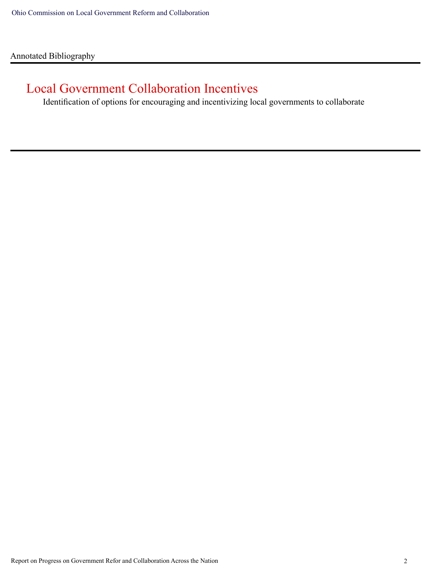Annotated Bibliography

## Local Government Collaboration Incentives

Identification of options for encouraging and incentivizing local governments to collaborate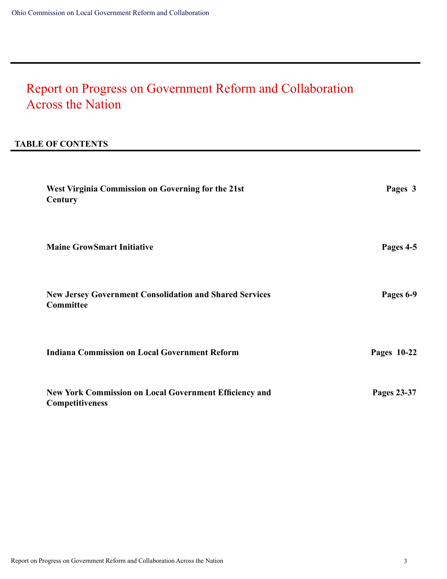# Report on Progress on Government Reform and Collaboration Across the Nation

### **TABLE OF CONTENTS**

| West Virginia Commission on Governing for the 21st<br>Century                           | Pages 3     |
|-----------------------------------------------------------------------------------------|-------------|
| <b>Maine GrowSmart Initiative</b>                                                       | Pages 4-5   |
| <b>New Jersey Government Consolidation and Shared Services</b><br>Committee             | Pages 6-9   |
| <b>Indiana Commission on Local Government Reform</b>                                    | Pages 10-22 |
| <b>New York Commission on Local Government Efficiency and</b><br><b>Competitiveness</b> | Pages 23-37 |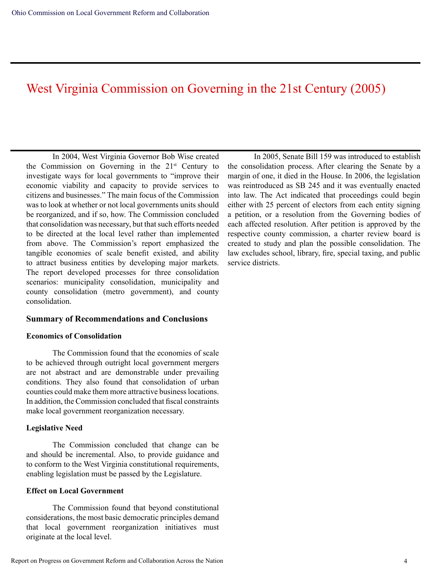### West Virginia Commission on Governing in the 21st Century (2005)

In 2004, West Virginia Governor Bob Wise created the Commission on Governing in the 21st Century to investigate ways for local governments to "improve their economic viability and capacity to provide services to citizens and businesses." The main focus of the Commission was to look at whether or not local governments units should be reorganized, and if so, how. The Commission concluded that consolidation was necessary, but that such efforts needed to be directed at the local level rather than implemented from above. The Commission's report emphasized the tangible economies of scale benefit existed, and ability to attract business entities by developing major markets. The report developed processes for three consolidation scenarios: municipality consolidation, municipality and county consolidation (metro government), and county consolidation.

#### **Summary of Recommendations and Conclusions**

#### **Economics of Consolidation**

The Commission found that the economies of scale to be achieved through outright local government mergers are not abstract and are demonstrable under prevailing conditions. They also found that consolidation of urban counties could make them more attractive business locations. In addition, the Commission concluded that fiscal constraints make local government reorganization necessary.

#### **Legislative Need**

The Commission concluded that change can be and should be incremental. Also, to provide guidance and to conform to the West Virginia constitutional requirements, enabling legislation must be passed by the Legislature.

#### **Effect on Local Government**

The Commission found that beyond constitutional considerations, the most basic democratic principles demand that local government reorganization initiatives must originate at the local level.

In 2005, Senate Bill 159 was introduced to establish the consolidation process. After clearing the Senate by a margin of one, it died in the House. In 2006, the legislation was reintroduced as SB 245 and it was eventually enacted into law. The Act indicated that proceedings could begin either with 25 percent of electors from each entity signing a petition, or a resolution from the Governing bodies of each affected resolution. After petition is approved by the respective county commission, a charter review board is created to study and plan the possible consolidation. The law excludes school, library, fire, special taxing, and public service districts.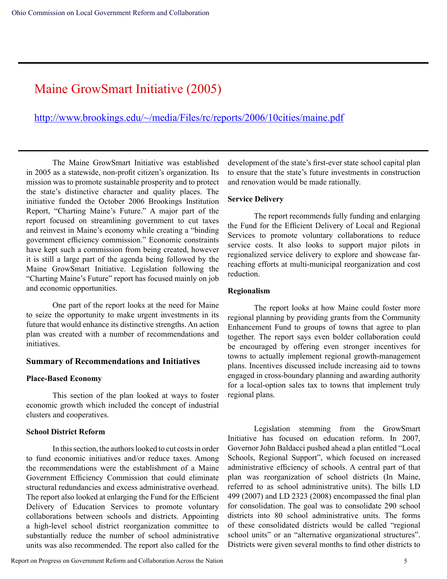### Maine GrowSmart Initiative (2005)

http://www.brookings.edu/~/media/Files/rc/reports/2006/10cities/maine.pdf

The Maine GrowSmart Initiative was established in 2005 as a statewide, non-profit citizen's organization. Its mission was to promote sustainable prosperity and to protect the state's distinctive character and quality places. The initiative funded the October 2006 Brookings Institution Report, "Charting Maine's Future." A major part of the report focused on streamlining government to cut taxes and reinvest in Maine's economy while creating a "binding government efficiency commission." Economic constraints have kept such a commission from being created, however it is still a large part of the agenda being followed by the Maine GrowSmart Initiative. Legislation following the "Charting Maine's Future" report has focused mainly on job and economic opportunities.

One part of the report looks at the need for Maine to seize the opportunity to make urgent investments in its future that would enhance its distinctive strengths. An action plan was created with a number of recommendations and initiatives.

#### **Summary of Recommendations and Initiatives**

#### **Place-Based Economy**

This section of the plan looked at ways to foster economic growth which included the concept of industrial clusters and cooperatives.

#### **School District Reform**

In this section, the authors looked to cut costs in order to fund economic initiatives and/or reduce taxes. Among the recommendations were the establishment of a Maine Government Efficiency Commission that could eliminate structural redundancies and excess administrative overhead. The report also looked at enlarging the Fund for the Efficient Delivery of Education Services to promote voluntary collaborations between schools and districts. Appointing a high-level school district reorganization committee to substantially reduce the number of school administrative units was also recommended. The report also called for the development of the state's first-ever state school capital plan to ensure that the state's future investments in construction and renovation would be made rationally.

#### **Service Delivery**

The report recommends fully funding and enlarging the Fund for the Efficient Delivery of Local and Regional Services to promote voluntary collaborations to reduce service costs. It also looks to support major pilots in regionalized service delivery to explore and showcase farreaching efforts at multi-municipal reorganization and cost reduction.

#### **Regionalism**

The report looks at how Maine could foster more regional planning by providing grants from the Community Enhancement Fund to groups of towns that agree to plan together. The report says even bolder collaboration could be encouraged by offering even stronger incentives for towns to actually implement regional growth-management plans. Incentives discussed include increasing aid to towns engaged in cross-boundary planning and awarding authority for a local-option sales tax to towns that implement truly regional plans.

Legislation stemming from the GrowSmart Initiative has focused on education reform. In 2007, Governor John Baldacci pushed ahead a plan entitled "Local Schools, Regional Support", which focused on increased administrative efficiency of schools. A central part of that plan was reorganization of school districts (In Maine, referred to as school administrative units). The bills LD 499 (2007) and LD 2323 (2008) encompassed the final plan for consolidation. The goal was to consolidate 290 school districts into 80 school administrative units. The forms of these consolidated districts would be called "regional school units" or an "alternative organizational structures". Districts were given several months to find other districts to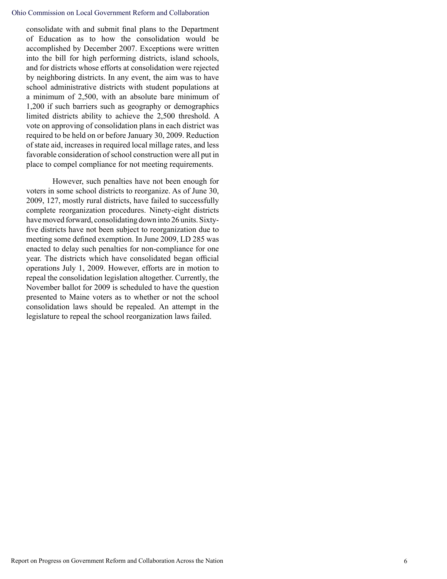#### Ohio Commission on Local Government Reform and Collaboration

consolidate with and submit final plans to the Department of Education as to how the consolidation would be accomplished by December 2007. Exceptions were written into the bill for high performing districts, island schools, and for districts whose efforts at consolidation were rejected by neighboring districts. In any event, the aim was to have school administrative districts with student populations at a minimum of 2,500, with an absolute bare minimum of 1,200 if such barriers such as geography or demographics limited districts ability to achieve the 2,500 threshold. A vote on approving of consolidation plans in each district was required to be held on or before January 30, 2009. Reduction of state aid, increases in required local millage rates, and less favorable consideration of school construction were all put in place to compel compliance for not meeting requirements.

However, such penalties have not been enough for voters in some school districts to reorganize. As of June 30, 2009, 127, mostly rural districts, have failed to successfully complete reorganization procedures. Ninety-eight districts have moved forward, consolidating down into 26 units. Sixtyfive districts have not been subject to reorganization due to meeting some defined exemption. In June 2009, LD 285 was enacted to delay such penalties for non-compliance for one year. The districts which have consolidated began official operations July 1, 2009. However, efforts are in motion to repeal the consolidation legislation altogether. Currently, the November ballot for 2009 is scheduled to have the question presented to Maine voters as to whether or not the school consolidation laws should be repealed. An attempt in the legislature to repeal the school reorganization laws failed.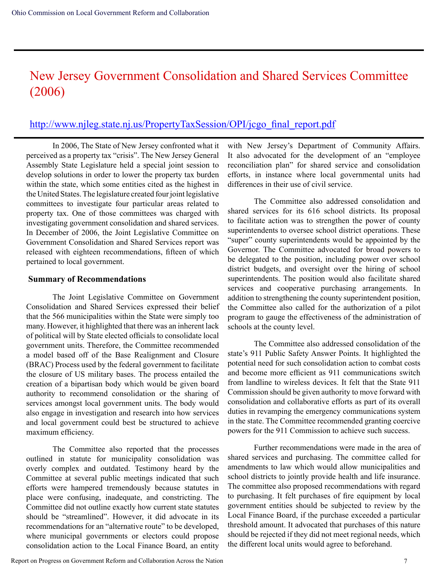## New Jersey Government Consolidation and Shared Services Committee (2006)

### http://www.njleg.state.nj.us/PropertyTaxSession/OPI/jcgo\_final\_report.pdf

In 2006, The State of New Jersey confronted what it perceived as a property tax "crisis". The New Jersey General Assembly State Legislature held a special joint session to develop solutions in order to lower the property tax burden within the state, which some entities cited as the highest in the United States. The legislature created four joint legislative committees to investigate four particular areas related to property tax. One of those committees was charged with investigating government consolidation and shared services. In December of 2006, the Joint Legislative Committee on Government Consolidation and Shared Services report was released with eighteen recommendations, fifteen of which pertained to local government.

#### **Summary of Recommendations**

The Joint Legislative Committee on Government Consolidation and Shared Services expressed their belief that the 566 municipalities within the State were simply too many. However, it highlighted that there was an inherent lack of political will by State elected officials to consolidate local government units. Therefore, the Committee recommended a model based off of the Base Realignment and Closure (BRAC) Process used by the federal government to facilitate the closure of US military bases. The process entailed the creation of a bipartisan body which would be given board authority to recommend consolidation or the sharing of services amongst local government units. The body would also engage in investigation and research into how services and local government could best be structured to achieve maximum efficiency.

The Committee also reported that the processes outlined in statute for municipality consolidation was overly complex and outdated. Testimony heard by the Committee at several public meetings indicated that such efforts were hampered tremendously because statutes in place were confusing, inadequate, and constricting. The Committee did not outline exactly how current state statutes should be "streamlined". However, it did advocate in its recommendations for an "alternative route" to be developed, where municipal governments or electors could propose consolidation action to the Local Finance Board, an entity

with New Jersey's Department of Community Affairs. It also advocated for the development of an "employee reconciliation plan" for shared service and consolidation efforts, in instance where local governmental units had differences in their use of civil service.

The Committee also addressed consolidation and shared services for its 616 school districts. Its proposal to facilitate action was to strengthen the power of county superintendents to oversee school district operations. These "super" county superintendents would be appointed by the Governor. The Committee advocated for broad powers to be delegated to the position, including power over school district budgets, and oversight over the hiring of school superintendents. The position would also facilitate shared services and cooperative purchasing arrangements. In addition to strengthening the county superintendent position, the Committee also called for the authorization of a pilot program to gauge the effectiveness of the administration of schools at the county level.

The Committee also addressed consolidation of the state's 911 Public Safety Answer Points. It highlighted the potential need for such consolidation action to combat costs and become more efficient as 911 communications switch from landline to wireless devices. It felt that the State 911 Commission should be given authority to move forward with consolidation and collaborative efforts as part of its overall duties in revamping the emergency communications system in the state. The Committee recommended granting coercive powers for the 911 Commission to achieve such success.

Further recommendations were made in the area of shared services and purchasing. The committee called for amendments to law which would allow municipalities and school districts to jointly provide health and life insurance. The committee also proposed recommendations with regard to purchasing. It felt purchases of fire equipment by local government entities should be subjected to review by the Local Finance Board, if the purchase exceeded a particular threshold amount. It advocated that purchases of this nature should be rejected if they did not meet regional needs, which the different local units would agree to beforehand.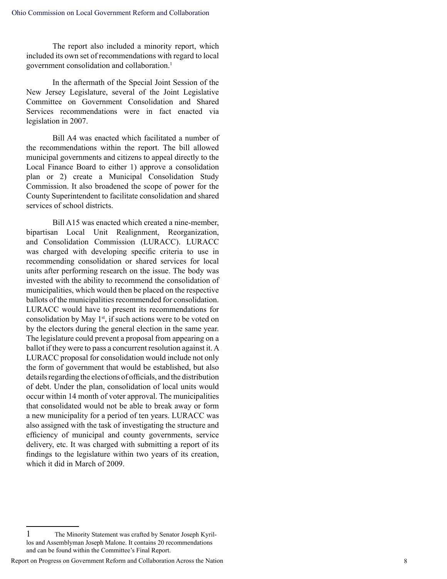The report also included a minority report, which included its own set of recommendations with regard to local government consolidation and collaboration. 1

In the aftermath of the Special Joint Session of the New Jersey Legislature, several of the Joint Legislative Committee on Government Consolidation and Shared Services recommendations were in fact enacted via legislation in 2007.

Bill A4 was enacted which facilitated a number of the recommendations within the report. The bill allowed municipal governments and citizens to appeal directly to the Local Finance Board to either 1) approve a consolidation plan or 2) create a Municipal Consolidation Study Commission. It also broadened the scope of power for the County Superintendent to facilitate consolidation and shared services of school districts.

Bill A15 was enacted which created a nine-member, bipartisan Local Unit Realignment, Reorganization, and Consolidation Commission (LURACC). LURACC was charged with developing specific criteria to use in recommending consolidation or shared services for local units after performing research on the issue. The body was invested with the ability to recommend the consolidation of municipalities, which would then be placed on the respective ballots of the municipalities recommended for consolidation. LURACC would have to present its recommendations for consolidation by May 1<sup>st</sup>, if such actions were to be voted on by the electors during the general election in the same year. The legislature could prevent a proposal from appearing on a ballot if they were to pass a concurrent resolution against it. A LURACC proposal for consolidation would include not only the form of government that would be established, but also details regarding the elections of officials, and the distribution of debt. Under the plan, consolidation of local units would occur within 14 month of voter approval. The municipalities that consolidated would not be able to break away or form a new municipality for a period of ten years. LURACC was also assigned with the task of investigating the structure and efficiency of municipal and county governments, service delivery, etc. It was charged with submitting a report of its findings to the legislature within two years of its creation, which it did in March of 2009.

<sup>1</sup> The Minority Statement was crafted by Senator Joseph Kyril los and Assemblyman Joseph Malone. It contains 20 recommendations and can be found within the Committee's Final Report.

Report on Progress on Government Reform and Collaboration Across the Nation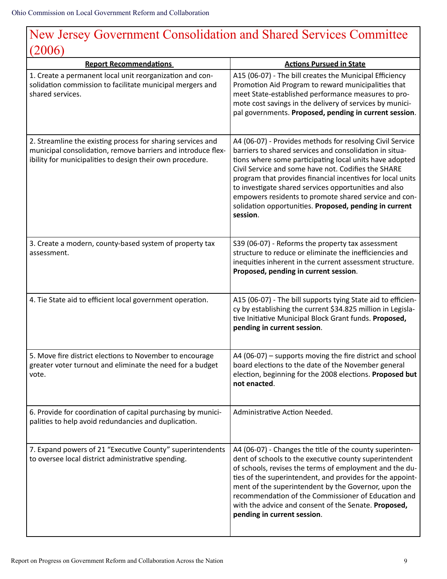# New Jersey Government Consolidation and Shared Services Committee (2006)

| <b>Report Recommendations</b>                                                                                                                                                            | <b>Actions Pursued in State</b>                                                                                                                                                                                                                                                                                                                                                                                                                                                              |
|------------------------------------------------------------------------------------------------------------------------------------------------------------------------------------------|----------------------------------------------------------------------------------------------------------------------------------------------------------------------------------------------------------------------------------------------------------------------------------------------------------------------------------------------------------------------------------------------------------------------------------------------------------------------------------------------|
| 1. Create a permanent local unit reorganization and con-<br>solidation commission to facilitate municipal mergers and<br>shared services.                                                | A15 (06-07) - The bill creates the Municipal Efficiency<br>Promotion Aid Program to reward municipalities that<br>meet State-established performance measures to pro-<br>mote cost savings in the delivery of services by munici-<br>pal governments. Proposed, pending in current session.                                                                                                                                                                                                  |
| 2. Streamline the existing process for sharing services and<br>municipal consolidation, remove barriers and introduce flex-<br>ibility for municipalities to design their own procedure. | A4 (06-07) - Provides methods for resolving Civil Service<br>barriers to shared services and consolidation in situa-<br>tions where some participating local units have adopted<br>Civil Service and some have not. Codifies the SHARE<br>program that provides financial incentives for local units<br>to investigate shared services opportunities and also<br>empowers residents to promote shared service and con-<br>solidation opportunities. Proposed, pending in current<br>session. |
| 3. Create a modern, county-based system of property tax<br>assessment.                                                                                                                   | S39 (06-07) - Reforms the property tax assessment<br>structure to reduce or eliminate the inefficiencies and<br>inequities inherent in the current assessment structure.<br>Proposed, pending in current session.                                                                                                                                                                                                                                                                            |
| 4. Tie State aid to efficient local government operation.                                                                                                                                | A15 (06-07) - The bill supports tying State aid to efficien-<br>cy by establishing the current \$34.825 million in Legisla-<br>tive Initiative Municipal Block Grant funds. Proposed,<br>pending in current session.                                                                                                                                                                                                                                                                         |
| 5. Move fire district elections to November to encourage<br>greater voter turnout and eliminate the need for a budget<br>vote.                                                           | $A4 (06-07)$ – supports moving the fire district and school<br>board elections to the date of the November general<br>election, beginning for the 2008 elections. Proposed but<br>not enacted.                                                                                                                                                                                                                                                                                               |
| 6. Provide for coordination of capital purchasing by munici-<br>palities to help avoid redundancies and duplication.                                                                     | Administrative Action Needed.                                                                                                                                                                                                                                                                                                                                                                                                                                                                |
| 7. Expand powers of 21 "Executive County" superintendents<br>to oversee local district administrative spending.                                                                          | A4 (06-07) - Changes the title of the county superinten-<br>dent of schools to the executive county superintendent<br>of schools, revises the terms of employment and the du-<br>ties of the superintendent, and provides for the appoint-<br>ment of the superintendent by the Governor, upon the<br>recommendation of the Commissioner of Education and<br>with the advice and consent of the Senate. Proposed,<br>pending in current session.                                             |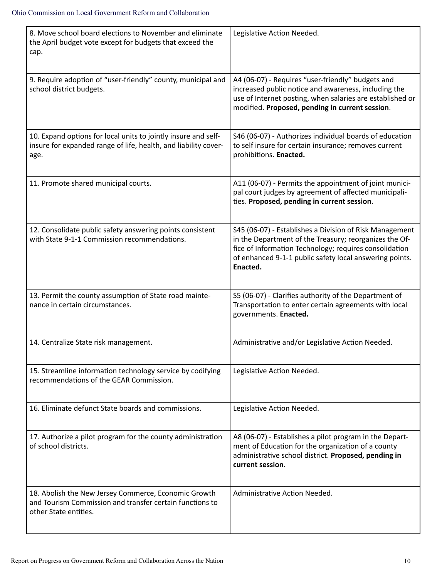| 8. Move school board elections to November and eliminate<br>the April budget vote except for budgets that exceed the<br>cap.              | Legislative Action Needed.                                                                                                                                                                                                                         |
|-------------------------------------------------------------------------------------------------------------------------------------------|----------------------------------------------------------------------------------------------------------------------------------------------------------------------------------------------------------------------------------------------------|
| 9. Require adoption of "user-friendly" county, municipal and<br>school district budgets.                                                  | A4 (06-07) - Requires "user-friendly" budgets and<br>increased public notice and awareness, including the<br>use of Internet posting, when salaries are established or<br>modified. Proposed, pending in current session.                          |
| 10. Expand options for local units to jointly insure and self-<br>insure for expanded range of life, health, and liability cover-<br>age. | S46 (06-07) - Authorizes individual boards of education<br>to self insure for certain insurance; removes current<br>prohibitions. Enacted.                                                                                                         |
| 11. Promote shared municipal courts.                                                                                                      | A11 (06-07) - Permits the appointment of joint munici-<br>pal court judges by agreement of affected municipali-<br>ties. Proposed, pending in current session.                                                                                     |
| 12. Consolidate public safety answering points consistent<br>with State 9-1-1 Commission recommendations.                                 | S45 (06-07) - Establishes a Division of Risk Management<br>in the Department of the Treasury; reorganizes the Of-<br>fice of Information Technology; requires consolidation<br>of enhanced 9-1-1 public safety local answering points.<br>Enacted. |
| 13. Permit the county assumption of State road mainte-<br>nance in certain circumstances.                                                 | S5 (06-07) - Clarifies authority of the Department of<br>Transportation to enter certain agreements with local<br>governments. Enacted.                                                                                                            |
| 14. Centralize State risk management.                                                                                                     | Administrative and/or Legislative Action Needed.                                                                                                                                                                                                   |
| 15. Streamline information technology service by codifying<br>recommendations of the GEAR Commission.                                     | Legislative Action Needed.                                                                                                                                                                                                                         |
| 16. Eliminate defunct State boards and commissions.                                                                                       | Legislative Action Needed.                                                                                                                                                                                                                         |
| 17. Authorize a pilot program for the county administration<br>of school districts.                                                       | A8 (06-07) - Establishes a pilot program in the Depart-<br>ment of Education for the organization of a county<br>administrative school district. Proposed, pending in<br>current session.                                                          |
| 18. Abolish the New Jersey Commerce, Economic Growth<br>and Tourism Commission and transfer certain functions to<br>other State entities. | Administrative Action Needed.                                                                                                                                                                                                                      |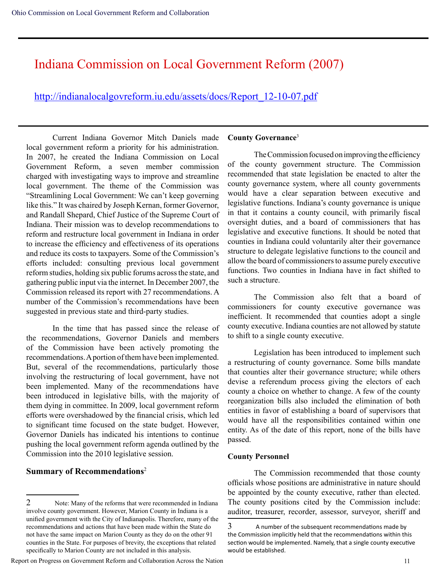### Indiana Commission on Local Government Reform (2007)

### http://indianalocalgovreform.iu.edu/assets/docs/Report\_12-10-07.pdf

Current Indiana Governor Mitch Daniels made local government reform a priority for his administration. In 2007, he created the Indiana Commission on Local Government Reform, a seven member commission charged with investigating ways to improve and streamline local government. The theme of the Commission was "Streamlining Local Government: We can't keep governing like this." It was chaired by Joseph Kernan, former Governor, and Randall Shepard, Chief Justice of the Supreme Court of Indiana. Their mission was to develop recommendations to reform and restructure local government in Indiana in order to increase the efficiency and effectiveness of its operations and reduce its costs to taxpayers. Some of the Commission's efforts included: consulting previous local government reform studies, holding six public forums across the state, and gathering public input via the internet. In December 2007, the Commission released its report with 27 recommendations. A number of the Commission's recommendations have been suggested in previous state and third-party studies.

In the time that has passed since the release of the recommendations, Governor Daniels and members of the Commission have been actively promoting the recommendations. A portion of them have been implemented. But, several of the recommendations, particularly those involving the restructuring of local government, have not been implemented. Many of the recommendations have been introduced in legislative bills, with the majority of them dying in committee. In 2009, local government reform efforts were overshadowed by the financial crisis, which led to significant time focused on the state budget. However, Governor Daniels has indicated his intentions to continue pushing the local government reform agenda outlined by the Commission into the 2010 legislative session.

### **Summary of Recommendations**<sup>2</sup>

#### Report on Progress on Government Reform and Collaboration Across the Nation 11

#### **County Governance**<sup>3</sup>

The Commission focused on improving the efficiency of the county government structure. The Commission recommended that state legislation be enacted to alter the county governance system, where all county governments would have a clear separation between executive and legislative functions. Indiana's county governance is unique in that it contains a county council, with primarily fiscal oversight duties, and a board of commissioners that has legislative and executive functions. It should be noted that counties in Indiana could voluntarily alter their governance structure to delegate legislative functions to the council and allow the board of commissioners to assume purely executive functions. Two counties in Indiana have in fact shifted to such a structure.

The Commission also felt that a board of commissioners for county executive governance was inefficient. It recommended that counties adopt a single county executive. Indiana counties are not allowed by statute to shift to a single county executive.

Legislation has been introduced to implement such a restructuring of county governance. Some bills mandate that counties alter their governance structure; while others devise a referendum process giving the electors of each county a choice on whether to change. A few of the county reorganization bills also included the elimination of both entities in favor of establishing a board of supervisors that would have all the responsibilities contained within one entity. As of the date of this report, none of the bills have passed.

#### **County Personnel**

The Commission recommended that those county officials whose positions are administrative in nature should be appointed by the county executive, rather than elected. The county positions cited by the Commission include: auditor, treasurer, recorder, assessor, surveyor, sheriff and

<sup>2</sup> Note: Many of the reforms that were recommended in Indiana involve county government. However, Marion County in Indiana is a unified government with the City of Indianapolis. Therefore, many of the recommendations and actions that have been made within the State do not have the same impact on Marion County as they do on the other 91 counties in the State. For purposes of brevity, the exceptions that related specifically to Marion County are not included in this analysis.

 $3$  A number of the subsequent recommendations made by the Commission implicitly held that the recommendations within this section would be implemented. Namely, that a single county executive would be established.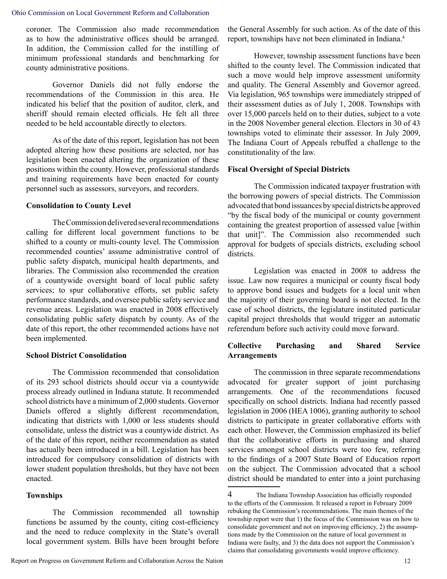coroner. The Commission also made recommendation as to how the administrative offices should be arranged. In addition, the Commission called for the instilling of minimum professional standards and benchmarking for county administrative positions.

Governor Daniels did not fully endorse the recommendations of the Commission in this area. He indicated his belief that the position of auditor, clerk, and sheriff should remain elected officials. He felt all three needed to be held accountable directly to electors.

As of the date of this report, legislation has not been adopted altering how these positions are selected, nor has legislation been enacted altering the organization of these positions within the county. However, professional standards and training requirements have been enacted for county personnel such as assessors, surveyors, and recorders.

#### **Consolidation to County Level**

The Commission delivered several recommendations calling for different local government functions to be shifted to a county or multi-county level. The Commission recommended counties' assume administrative control of public safety dispatch, municipal health departments, and libraries. The Commission also recommended the creation of a countywide oversight board of local public safety services; to spur collaborative efforts, set public safety performance standards, and oversee public safety service and revenue areas. Legislation was enacted in 2008 effectively consolidating public safety dispatch by county. As of the date of this report, the other recommended actions have not been implemented.

#### **School District Consolidation**

The Commission recommended that consolidation of its 293 school districts should occur via a countywide process already outlined in Indiana statute. It recommended school districts have a minimum of 2,000 students. Governor Daniels offered a slightly different recommendation, indicating that districts with 1,000 or less students should consolidate, unless the district was a countywide district. As of the date of this report, neither recommendation as stated has actually been introduced in a bill. Legislation has been introduced for compulsory consolidation of districts with lower student population thresholds, but they have not been enacted.

#### **Townships**

The Commission recommended all township functions be assumed by the county, citing cost-efficiency and the need to reduce complexity in the State's overall local government system. Bills have been brought before the General Assembly for such action. As of the date of this report, townships have not been eliminated in Indiana.<sup>4</sup>

However, township assessment functions have been shifted to the county level. The Commission indicated that such a move would help improve assessment uniformity and quality. The General Assembly and Governor agreed. Via legislation, 965 townships were immediately stripped of their assessment duties as of July 1, 2008. Townships with over 15,000 parcels held on to their duties, subject to a vote in the 2008 November general election. Electors in 30 of 43 townships voted to eliminate their assessor. In July 2009, The Indiana Court of Appeals rebuffed a challenge to the constitutionality of the law.

#### **Fiscal Oversight of Special Districts**

The Commission indicated taxpayer frustration with the borrowing powers of special districts. The Commission advocated that bond issuances by special districts be approved "by the fiscal body of the municipal or county government containing the greatest proportion of assessed value [within that unit]". The Commission also recommended such approval for budgets of specials districts, excluding school districts.

Legislation was enacted in 2008 to address the issue. Law now requires a municipal or county fiscal body to approve bond issues and budgets for a local unit when the majority of their governing board is not elected. In the case of school districts, the legislature instituted particular capital project thresholds that would trigger an automatic referendum before such activity could move forward.

### **Collective Purchasing and Shared Service Arrangements**

The commission in three separate recommendations advocated for greater support of joint purchasing arrangements. One of the recommendations focused specifically on school districts. Indiana had recently passed legislation in 2006 (HEA 1006), granting authority to school districts to participate in greater collaborative efforts with each other. However, the Commission emphasized its belief that the collaborative efforts in purchasing and shared services amongst school districts were too few, referring to the findings of a 2007 State Board of Education report on the subject. The Commission advocated that a school district should be mandated to enter into a joint purchasing

<sup>4</sup> The Indiana Township Association has officially responded to the efforts of the Commission. It released a report in February 2009 rebuking the Commission's recommendations. The main themes of the township report were that 1) the focus of the Commission was on how to consolidate government and not on improving efficiency, 2) the assumptions made by the Commission on the nature of local government in Indiana were faulty, and 3) the data does not support the Commission's claims that consolidating governments would improve efficiency.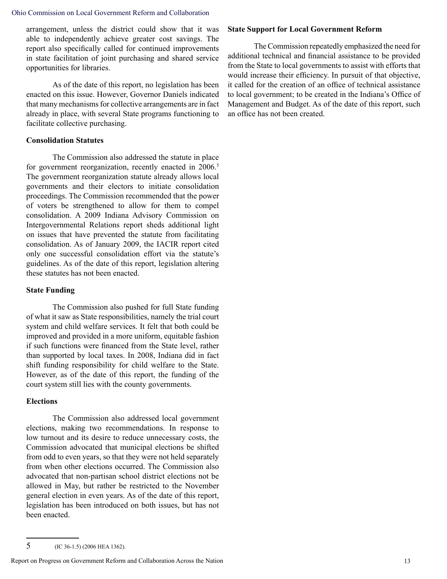arrangement, unless the district could show that it was able to independently achieve greater cost savings. The report also specifically called for continued improvements in state facilitation of joint purchasing and shared service opportunities for libraries.

As of the date of this report, no legislation has been enacted on this issue. However, Governor Daniels indicated that many mechanisms for collective arrangements are in fact already in place, with several State programs functioning to facilitate collective purchasing.

#### **Consolidation Statutes**

The Commission also addressed the statute in place for government reorganization, recently enacted in 2006.<sup>5</sup> The government reorganization statute already allows local governments and their electors to initiate consolidation proceedings. The Commission recommended that the power of voters be strengthened to allow for them to compel consolidation. A 2009 Indiana Advisory Commission on Intergovernmental Relations report sheds additional light on issues that have prevented the statute from facilitating consolidation. As of January 2009, the IACIR report cited only one successful consolidation effort via the statute's guidelines. As of the date of this report, legislation altering these statutes has not been enacted.

#### **State Funding**

The Commission also pushed for full State funding of what it saw as State responsibilities, namely the trial court system and child welfare services. It felt that both could be improved and provided in a more uniform, equitable fashion if such functions were financed from the State level, rather than supported by local taxes. In 2008, Indiana did in fact shift funding responsibility for child welfare to the State. However, as of the date of this report, the funding of the court system still lies with the county governments.

#### **Elections**

The Commission also addressed local government elections, making two recommendations. In response to low turnout and its desire to reduce unnecessary costs, the Commission advocated that municipal elections be shifted from odd to even years, so that they were not held separately from when other elections occurred. The Commission also advocated that non-partisan school district elections not be allowed in May, but rather be restricted to the November general election in even years. As of the date of this report, legislation has been introduced on both issues, but has not been enacted.

### **State Support for Local Government Reform**

The Commission repeatedly emphasized the need for additional technical and financial assistance to be provided from the State to local governments to assist with efforts that would increase their efficiency. In pursuit of that objective, it called for the creation of an office of technical assistance to local government; to be created in the Indiana's Office of Management and Budget. As of the date of this report, such an office has not been created.

<sup>5</sup> (IC 36-1.5) (2006 HEA 1362).

Report on Progress on Government Reform and Collaboration Across the Nation 13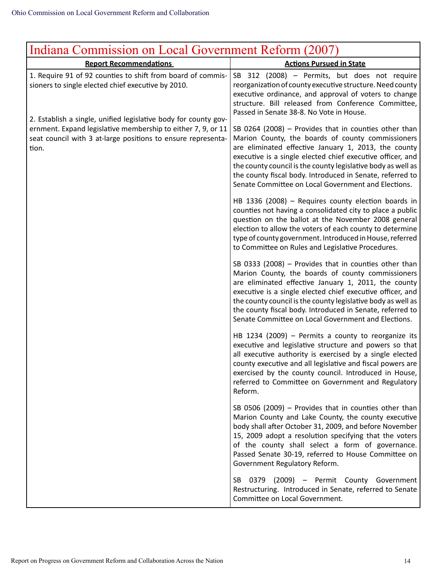| Indiana Commission on Local Government Reform (2007)                                                                                                                                                     |                                                                                                                                                                                                                                                                                                                                                                                                                      |
|----------------------------------------------------------------------------------------------------------------------------------------------------------------------------------------------------------|----------------------------------------------------------------------------------------------------------------------------------------------------------------------------------------------------------------------------------------------------------------------------------------------------------------------------------------------------------------------------------------------------------------------|
| <b>Report Recommendations</b>                                                                                                                                                                            | <b>Actions Pursued in State</b>                                                                                                                                                                                                                                                                                                                                                                                      |
| 1. Require 91 of 92 counties to shift from board of commis-<br>sioners to single elected chief executive by 2010.                                                                                        | SB 312 (2008) - Permits, but does not require<br>reorganization of county executive structure. Need county<br>executive ordinance, and approval of voters to change<br>structure. Bill released from Conference Committee,<br>Passed in Senate 38-8. No Vote in House.                                                                                                                                               |
| 2. Establish a single, unified legislative body for county gov-<br>ernment. Expand legislative membership to either 7, 9, or 11<br>seat council with 3 at-large positions to ensure representa-<br>tion. | SB 0264 (2008) - Provides that in counties other than<br>Marion County, the boards of county commissioners<br>are eliminated effective January 1, 2013, the county<br>executive is a single elected chief executive officer, and<br>the county council is the county legislative body as well as<br>the county fiscal body. Introduced in Senate, referred to<br>Senate Committee on Local Government and Elections. |
|                                                                                                                                                                                                          | HB 1336 (2008) - Requires county election boards in<br>counties not having a consolidated city to place a public<br>question on the ballot at the November 2008 general<br>election to allow the voters of each county to determine<br>type of county government. Introduced in House, referred<br>to Committee on Rules and Legislative Procedures.                                                                 |
|                                                                                                                                                                                                          | SB 0333 (2008) - Provides that in counties other than<br>Marion County, the boards of county commissioners<br>are eliminated effective January 1, 2011, the county<br>executive is a single elected chief executive officer, and<br>the county council is the county legislative body as well as<br>the county fiscal body. Introduced in Senate, referred to<br>Senate Committee on Local Government and Elections. |
|                                                                                                                                                                                                          | HB 1234 (2009) $-$ Permits a county to reorganize its<br>executive and legislative structure and powers so that<br>all executive authority is exercised by a single elected<br>county executive and all legislative and fiscal powers are<br>exercised by the county council. Introduced in House,<br>referred to Committee on Government and Regulatory<br>Reform.                                                  |
|                                                                                                                                                                                                          | SB 0506 (2009) $-$ Provides that in counties other than<br>Marion County and Lake County, the county executive<br>body shall after October 31, 2009, and before November<br>15, 2009 adopt a resolution specifying that the voters<br>of the county shall select a form of governance.<br>Passed Senate 30-19, referred to House Committee on<br>Government Regulatory Reform.                                       |
|                                                                                                                                                                                                          | SB<br>0379 (2009) - Permit County Government<br>Restructuring. Introduced in Senate, referred to Senate<br>Committee on Local Government.                                                                                                                                                                                                                                                                            |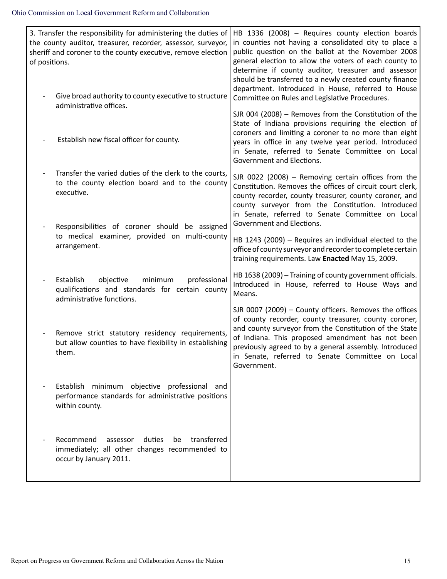| of positions. | 3. Transfer the responsibility for administering the duties of<br>the county auditor, treasurer, recorder, assessor, surveyor,<br>sheriff and coroner to the county executive, remove election | HB 1336 (2008) - Requires county election boards<br>in counties not having a consolidated city to place a<br>public question on the ballot at the November 2008<br>general election to allow the voters of each county to<br>determine if county auditor, treasurer and assessor<br>should be transferred to a newly created county finance<br>department. Introduced in House, referred to House |
|---------------|------------------------------------------------------------------------------------------------------------------------------------------------------------------------------------------------|---------------------------------------------------------------------------------------------------------------------------------------------------------------------------------------------------------------------------------------------------------------------------------------------------------------------------------------------------------------------------------------------------|
|               | Give broad authority to county executive to structure<br>administrative offices.                                                                                                               | Committee on Rules and Legislative Procedures.                                                                                                                                                                                                                                                                                                                                                    |
|               | Establish new fiscal officer for county.                                                                                                                                                       | SJR 004 (2008) $-$ Removes from the Constitution of the<br>State of Indiana provisions requiring the election of<br>coroners and limiting a coroner to no more than eight<br>years in office in any twelve year period. Introduced<br>in Senate, referred to Senate Committee on Local<br>Government and Elections.                                                                               |
|               | Transfer the varied duties of the clerk to the courts,<br>to the county election board and to the county<br>executive.                                                                         | SJR 0022 (2008) - Removing certain offices from the<br>Constitution. Removes the offices of circuit court clerk,<br>county recorder, county treasurer, county coroner, and<br>county surveyor from the Constitution. Introduced<br>in Senate, referred to Senate Committee on Local<br>Government and Elections.                                                                                  |
|               | Responsibilities of coroner should be assigned<br>to medical examiner, provided on multi-county<br>arrangement.                                                                                | HB 1243 (2009) - Requires an individual elected to the<br>office of county surveyor and recorder to complete certain<br>training requirements. Law Enacted May 15, 2009.                                                                                                                                                                                                                          |
|               | Establish<br>objective<br>minimum<br>professional<br>qualifications and standards for certain county<br>administrative functions.                                                              | HB 1638 (2009) - Training of county government officials.<br>Introduced in House, referred to House Ways and<br>Means.                                                                                                                                                                                                                                                                            |
|               | Remove strict statutory residency requirements,<br>but allow counties to have flexibility in establishing<br>them.                                                                             | SJR 0007 (2009) $-$ County officers. Removes the offices<br>of county recorder, county treasurer, county coroner,<br>and county surveyor from the Constitution of the State<br>of Indiana. This proposed amendment has not been<br>previously agreed to by a general assembly. Introduced<br>in Senate, referred to Senate Committee on Local<br>Government.                                      |
|               | Establish minimum objective professional and<br>performance standards for administrative positions<br>within county.                                                                           |                                                                                                                                                                                                                                                                                                                                                                                                   |
|               | Recommend<br>duties<br>transferred<br>assessor<br>be<br>immediately; all other changes recommended to<br>occur by January 2011.                                                                |                                                                                                                                                                                                                                                                                                                                                                                                   |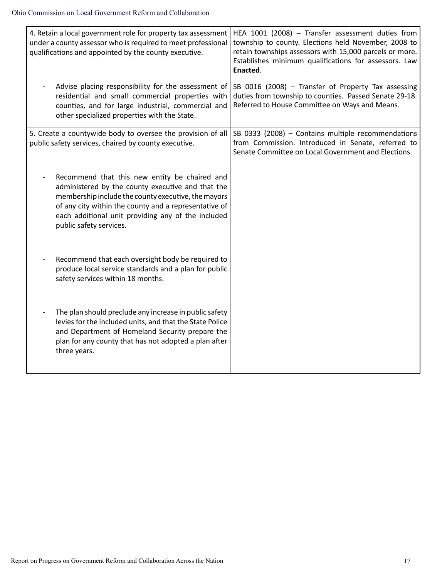| 4. Retain a local government role for property tax assessment<br>under a county assessor who is required to meet professional<br>qualifications and appointed by the county executive. |                                                                                                                                                                                                                                                                          | HEA 1001 (2008) - Transfer assessment duties from<br>township to county. Elections held November, 2008 to<br>retain townships assessors with 15,000 parcels or more.<br>Establishes minimum qualifications for assessors. Law<br>Enacted. |
|----------------------------------------------------------------------------------------------------------------------------------------------------------------------------------------|--------------------------------------------------------------------------------------------------------------------------------------------------------------------------------------------------------------------------------------------------------------------------|-------------------------------------------------------------------------------------------------------------------------------------------------------------------------------------------------------------------------------------------|
| other specialized properties with the State.                                                                                                                                           | Advise placing responsibility for the assessment of<br>residential and small commercial properties with<br>counties, and for large industrial, commercial and                                                                                                            | SB 0016 (2008) - Transfer of Property Tax assessing<br>duties from township to counties. Passed Senate 29-18.<br>Referred to House Committee on Ways and Means.                                                                           |
| 5. Create a countywide body to oversee the provision of all<br>public safety services, chaired by county executive.                                                                    |                                                                                                                                                                                                                                                                          | SB 0333 (2008) - Contains multiple recommendations<br>from Commission. Introduced in Senate, referred to<br>Senate Committee on Local Government and Elections.                                                                           |
| public safety services.                                                                                                                                                                | Recommend that this new entity be chaired and<br>administered by the county executive and that the<br>membership include the county executive, the mayors<br>of any city within the county and a representative of<br>each additional unit providing any of the included |                                                                                                                                                                                                                                           |
| safety services within 18 months.                                                                                                                                                      | Recommend that each oversight body be required to<br>produce local service standards and a plan for public                                                                                                                                                               |                                                                                                                                                                                                                                           |
| three years.                                                                                                                                                                           | The plan should preclude any increase in public safety<br>levies for the included units, and that the State Police<br>and Department of Homeland Security prepare the<br>plan for any county that has not adopted a plan after                                           |                                                                                                                                                                                                                                           |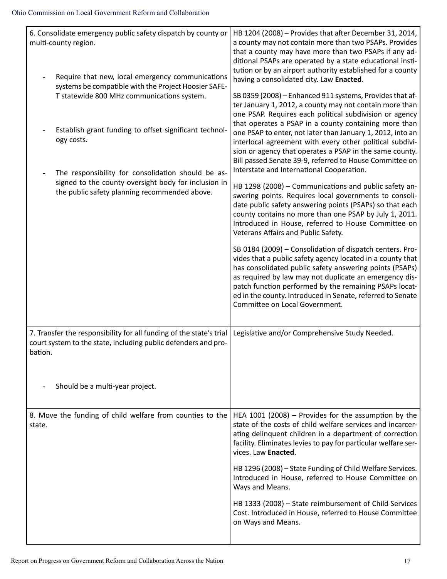| HB 1204 (2008) - Provides that after December 31, 2014,<br>a county may not contain more than two PSAPs. Provides<br>that a county may have more than two PSAPs if any ad-<br>ditional PSAPs are operated by a state educational insti-<br>tution or by an airport authority established for a county<br>having a consolidated city. Law Enacted.                                                     |
|-------------------------------------------------------------------------------------------------------------------------------------------------------------------------------------------------------------------------------------------------------------------------------------------------------------------------------------------------------------------------------------------------------|
| SB 0359 (2008) - Enhanced 911 systems, Provides that af-<br>ter January 1, 2012, a county may not contain more than<br>one PSAP. Requires each political subdivision or agency<br>that operates a PSAP in a county containing more than                                                                                                                                                               |
| one PSAP to enter, not later than January 1, 2012, into an<br>interlocal agreement with every other political subdivi-<br>sion or agency that operates a PSAP in the same county.<br>Bill passed Senate 39-9, referred to House Committee on<br>Interstate and International Cooperation.                                                                                                             |
| HB 1298 (2008) - Communications and public safety an-<br>swering points. Requires local governments to consoli-<br>date public safety answering points (PSAPs) so that each<br>county contains no more than one PSAP by July 1, 2011.<br>Introduced in House, referred to House Committee on<br>Veterans Affairs and Public Safety.                                                                   |
| SB 0184 (2009) - Consolidation of dispatch centers. Pro-<br>vides that a public safety agency located in a county that<br>has consolidated public safety answering points (PSAPs)<br>as required by law may not duplicate an emergency dis-<br>patch function performed by the remaining PSAPs locat-<br>ed in the county. Introduced in Senate, referred to Senate<br>Committee on Local Government. |
| Legislative and/or Comprehensive Study Needed.                                                                                                                                                                                                                                                                                                                                                        |
|                                                                                                                                                                                                                                                                                                                                                                                                       |
| 8. Move the funding of child welfare from counties to the  <br>HEA 1001 (2008) - Provides for the assumption by the<br>state of the costs of child welfare services and incarcer-<br>ating delinquent children in a department of correction<br>facility. Eliminates levies to pay for particular welfare ser-<br>vices. Law Enacted.                                                                 |
| HB 1296 (2008) - State Funding of Child Welfare Services.<br>Introduced in House, referred to House Committee on<br>Ways and Means.                                                                                                                                                                                                                                                                   |
| HB 1333 (2008) - State reimbursement of Child Services<br>Cost. Introduced in House, referred to House Committee<br>on Ways and Means.                                                                                                                                                                                                                                                                |
|                                                                                                                                                                                                                                                                                                                                                                                                       |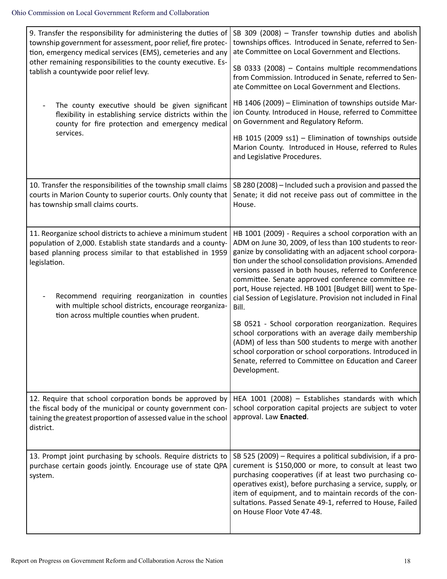| 9. Transfer the responsibility for administering the duties of<br>township government for assessment, poor relief, fire protec-<br>tion, emergency medical services (EMS), cemeteries and any<br>other remaining responsibilities to the county executive. Es-<br>tablish a countywide poor relief levy.                                                             | SB 309 (2008) - Transfer township duties and abolish<br>townships offices. Introduced in Senate, referred to Sen-<br>ate Committee on Local Government and Elections.<br>SB 0333 (2008) - Contains multiple recommendations<br>from Commission. Introduced in Senate, referred to Sen-<br>ate Committee on Local Government and Elections.                                                                                                                                                                                                                                                                                                                                                                                                                                                                     |
|----------------------------------------------------------------------------------------------------------------------------------------------------------------------------------------------------------------------------------------------------------------------------------------------------------------------------------------------------------------------|----------------------------------------------------------------------------------------------------------------------------------------------------------------------------------------------------------------------------------------------------------------------------------------------------------------------------------------------------------------------------------------------------------------------------------------------------------------------------------------------------------------------------------------------------------------------------------------------------------------------------------------------------------------------------------------------------------------------------------------------------------------------------------------------------------------|
| The county executive should be given significant<br>flexibility in establishing service districts within the<br>county for fire protection and emergency medical                                                                                                                                                                                                     | HB 1406 (2009) - Elimination of townships outside Mar-<br>ion County. Introduced in House, referred to Committee<br>on Government and Regulatory Reform.                                                                                                                                                                                                                                                                                                                                                                                                                                                                                                                                                                                                                                                       |
| services.                                                                                                                                                                                                                                                                                                                                                            | HB 1015 (2009 ss1) - Elimination of townships outside<br>Marion County. Introduced in House, referred to Rules<br>and Legislative Procedures.                                                                                                                                                                                                                                                                                                                                                                                                                                                                                                                                                                                                                                                                  |
| 10. Transfer the responsibilities of the township small claims<br>courts in Marion County to superior courts. Only county that<br>has township small claims courts.                                                                                                                                                                                                  | SB 280 (2008) - Included such a provision and passed the<br>Senate; it did not receive pass out of committee in the<br>House.                                                                                                                                                                                                                                                                                                                                                                                                                                                                                                                                                                                                                                                                                  |
| 11. Reorganize school districts to achieve a minimum student<br>population of 2,000. Establish state standards and a county-<br>based planning process similar to that established in 1959<br>legislation.<br>Recommend requiring reorganization in counties<br>with multiple school districts, encourage reorganiza-<br>tion across multiple counties when prudent. | HB 1001 (2009) - Requires a school corporation with an<br>ADM on June 30, 2009, of less than 100 students to reor-<br>ganize by consolidating with an adjacent school corpora-<br>tion under the school consolidation provisions. Amended<br>versions passed in both houses, referred to Conference<br>committee. Senate approved conference committee re-<br>port, House rejected. HB 1001 [Budget Bill] went to Spe-<br>cial Session of Legislature. Provision not included in Final<br>Bill.<br>SB 0521 - School corporation reorganization. Requires<br>school corporations with an average daily membership<br>(ADM) of less than 500 students to merge with another<br>school corporation or school corporations. Introduced in<br>Senate, referred to Committee on Education and Career<br>Development. |
| 12. Require that school corporation bonds be approved by<br>the fiscal body of the municipal or county government con-<br>taining the greatest proportion of assessed value in the school<br>district.                                                                                                                                                               | HEA 1001 (2008) - Establishes standards with which<br>school corporation capital projects are subject to voter<br>approval. Law Enacted.                                                                                                                                                                                                                                                                                                                                                                                                                                                                                                                                                                                                                                                                       |
| 13. Prompt joint purchasing by schools. Require districts to<br>purchase certain goods jointly. Encourage use of state QPA<br>system.                                                                                                                                                                                                                                | SB 525 (2009) - Requires a political subdivision, if a pro-<br>curement is \$150,000 or more, to consult at least two<br>purchasing cooperatives (if at least two purchasing co-<br>operatives exist), before purchasing a service, supply, or<br>item of equipment, and to maintain records of the con-<br>sultations. Passed Senate 49-1, referred to House, Failed<br>on House Floor Vote 47-48.                                                                                                                                                                                                                                                                                                                                                                                                            |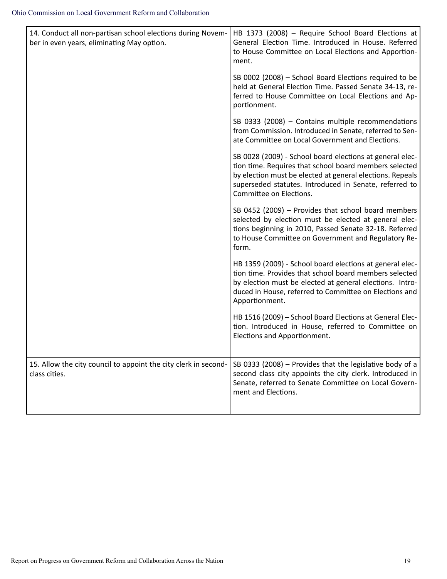| 14. Conduct all non-partisan school elections during Novem-<br>ber in even years, eliminating May option. | HB 1373 (2008) - Require School Board Elections at<br>General Election Time. Introduced in House. Referred<br>to House Committee on Local Elections and Apportion-<br>ment.                                                                                          |
|-----------------------------------------------------------------------------------------------------------|----------------------------------------------------------------------------------------------------------------------------------------------------------------------------------------------------------------------------------------------------------------------|
|                                                                                                           | SB 0002 (2008) - School Board Elections required to be<br>held at General Election Time. Passed Senate 34-13, re-<br>ferred to House Committee on Local Elections and Ap-<br>portionment.                                                                            |
|                                                                                                           | SB 0333 (2008) - Contains multiple recommendations<br>from Commission. Introduced in Senate, referred to Sen-<br>ate Committee on Local Government and Elections.                                                                                                    |
|                                                                                                           | SB 0028 (2009) - School board elections at general elec-<br>tion time. Requires that school board members selected<br>by election must be elected at general elections. Repeals<br>superseded statutes. Introduced in Senate, referred to<br>Committee on Elections. |
|                                                                                                           | SB 0452 (2009) - Provides that school board members<br>selected by election must be elected at general elec-<br>tions beginning in 2010, Passed Senate 32-18. Referred<br>to House Committee on Government and Regulatory Re-<br>form.                               |
|                                                                                                           | HB 1359 (2009) - School board elections at general elec-<br>tion time. Provides that school board members selected<br>by election must be elected at general elections. Intro-<br>duced in House, referred to Committee on Elections and<br>Apportionment.           |
|                                                                                                           | HB 1516 (2009) - School Board Elections at General Elec-<br>tion. Introduced in House, referred to Committee on<br>Elections and Apportionment.                                                                                                                      |
| 15. Allow the city council to appoint the city clerk in second-<br>class cities.                          | SB 0333 (2008) - Provides that the legislative body of a<br>second class city appoints the city clerk. Introduced in<br>Senate, referred to Senate Committee on Local Govern-<br>ment and Elections.                                                                 |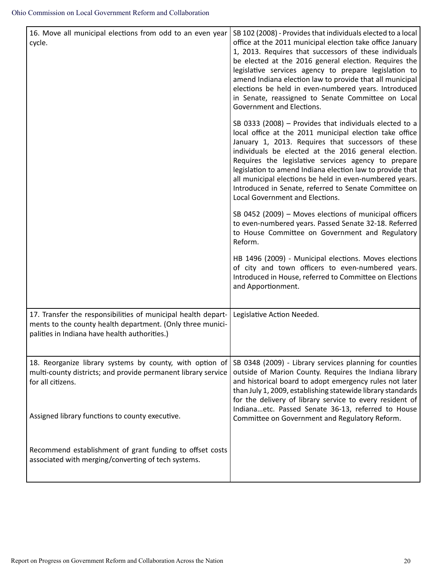| 16. Move all municipal elections from odd to an even year<br>cycle.                                                                                                          | SB 102 (2008) - Provides that individuals elected to a local<br>office at the 2011 municipal election take office January<br>1, 2013. Requires that successors of these individuals<br>be elected at the 2016 general election. Requires the<br>legislative services agency to prepare legislation to<br>amend Indiana election law to provide that all municipal<br>elections be held in even-numbered years. Introduced<br>in Senate, reassigned to Senate Committee on Local<br>Government and Elections. |
|------------------------------------------------------------------------------------------------------------------------------------------------------------------------------|--------------------------------------------------------------------------------------------------------------------------------------------------------------------------------------------------------------------------------------------------------------------------------------------------------------------------------------------------------------------------------------------------------------------------------------------------------------------------------------------------------------|
|                                                                                                                                                                              | SB 0333 (2008) - Provides that individuals elected to a<br>local office at the 2011 municipal election take office<br>January 1, 2013. Requires that successors of these<br>individuals be elected at the 2016 general election.<br>Requires the legislative services agency to prepare<br>legislation to amend Indiana election law to provide that<br>all municipal elections be held in even-numbered years.<br>Introduced in Senate, referred to Senate Committee on<br>Local Government and Elections.  |
|                                                                                                                                                                              | SB 0452 (2009) - Moves elections of municipal officers<br>to even-numbered years. Passed Senate 32-18. Referred<br>to House Committee on Government and Regulatory<br>Reform.                                                                                                                                                                                                                                                                                                                                |
|                                                                                                                                                                              | HB 1496 (2009) - Municipal elections. Moves elections<br>of city and town officers to even-numbered years.<br>Introduced in House, referred to Committee on Elections<br>and Apportionment.                                                                                                                                                                                                                                                                                                                  |
| 17. Transfer the responsibilities of municipal health depart-<br>ments to the county health department. (Only three munici-<br>palities in Indiana have health authorities.) | Legislative Action Needed.                                                                                                                                                                                                                                                                                                                                                                                                                                                                                   |
| 18. Reorganize library systems by county, with option of<br>multi-county districts; and provide permanent library service<br>for all citizens.                               | SB 0348 (2009) - Library services planning for counties<br>outside of Marion County. Requires the Indiana library<br>and historical board to adopt emergency rules not later<br>than July 1, 2009, establishing statewide library standards<br>for the delivery of library service to every resident of                                                                                                                                                                                                      |
| Assigned library functions to county executive.                                                                                                                              | Indianaetc. Passed Senate 36-13, referred to House<br>Committee on Government and Regulatory Reform.                                                                                                                                                                                                                                                                                                                                                                                                         |
| Recommend establishment of grant funding to offset costs<br>associated with merging/converting of tech systems.                                                              |                                                                                                                                                                                                                                                                                                                                                                                                                                                                                                              |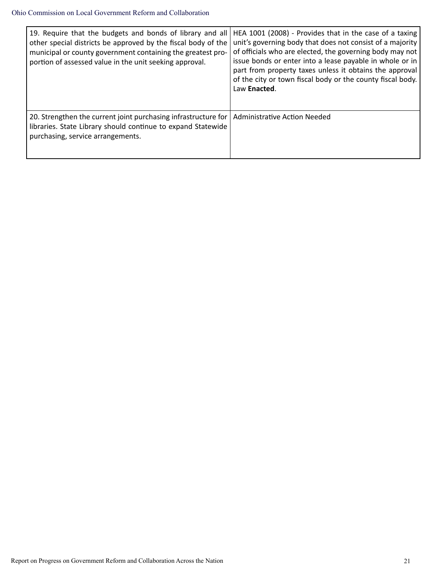| 19. Require that the budgets and bonds of library and all<br>other special districts be approved by the fiscal body of the<br>municipal or county government containing the greatest pro-<br>portion of assessed value in the unit seeking approval. | HEA 1001 (2008) - Provides that in the case of a taxing<br>unit's governing body that does not consist of a majority<br>of officials who are elected, the governing body may not<br>issue bonds or enter into a lease payable in whole or in<br>part from property taxes unless it obtains the approval<br>of the city or town fiscal body or the county fiscal body.<br>Law Enacted. |
|------------------------------------------------------------------------------------------------------------------------------------------------------------------------------------------------------------------------------------------------------|---------------------------------------------------------------------------------------------------------------------------------------------------------------------------------------------------------------------------------------------------------------------------------------------------------------------------------------------------------------------------------------|
| 20. Strengthen the current joint purchasing infrastructure for   Administrative Action Needed<br>libraries. State Library should continue to expand Statewide<br>purchasing, service arrangements.                                                   |                                                                                                                                                                                                                                                                                                                                                                                       |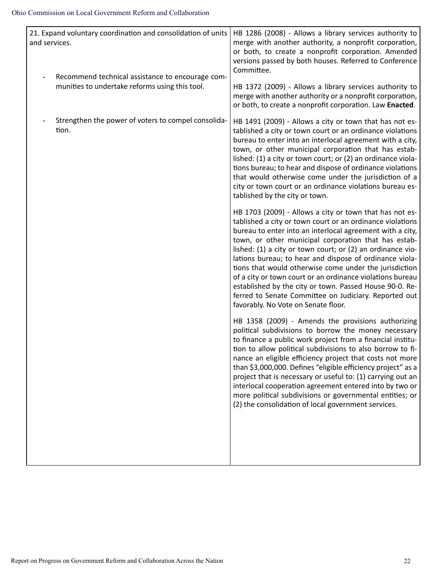| 21. Expand voluntary coordination and consolidation of units<br>and services.                      | HB 1286 (2008) - Allows a library services authority to<br>merge with another authority, a nonprofit corporation,<br>or both, to create a nonprofit corporation. Amended<br>versions passed by both houses. Referred to Conference<br>Committee.                                                                                                                                                                                                                                                                                                                                                                                                     |
|----------------------------------------------------------------------------------------------------|------------------------------------------------------------------------------------------------------------------------------------------------------------------------------------------------------------------------------------------------------------------------------------------------------------------------------------------------------------------------------------------------------------------------------------------------------------------------------------------------------------------------------------------------------------------------------------------------------------------------------------------------------|
| Recommend technical assistance to encourage com-<br>munities to undertake reforms using this tool. | HB 1372 (2009) - Allows a library services authority to<br>merge with another authority or a nonprofit corporation,<br>or both, to create a nonprofit corporation. Law Enacted.                                                                                                                                                                                                                                                                                                                                                                                                                                                                      |
| Strengthen the power of voters to compel consolida-<br>tion.                                       | HB 1491 (2009) - Allows a city or town that has not es-<br>tablished a city or town court or an ordinance violations<br>bureau to enter into an interlocal agreement with a city,<br>town, or other municipal corporation that has estab-<br>lished: (1) a city or town court; or (2) an ordinance viola-<br>tions bureau; to hear and dispose of ordinance violations<br>that would otherwise come under the jurisdiction of a<br>city or town court or an ordinance violations bureau es-<br>tablished by the city or town.                                                                                                                        |
|                                                                                                    | HB 1703 (2009) - Allows a city or town that has not es-<br>tablished a city or town court or an ordinance violations<br>bureau to enter into an interlocal agreement with a city,<br>town, or other municipal corporation that has estab-<br>lished: (1) a city or town court; or (2) an ordinance vio-<br>lations bureau; to hear and dispose of ordinance viola-<br>tions that would otherwise come under the jurisdiction<br>of a city or town court or an ordinance violations bureau<br>established by the city or town. Passed House 90-0. Re-<br>ferred to Senate Committee on Judiciary. Reported out<br>favorably. No Vote on Senate floor. |
|                                                                                                    | HB 1358 (2009) - Amends the provisions authorizing<br>political subdivisions to borrow the money necessary<br>to finance a public work project from a financial institu-<br>tion to allow political subdivisions to also borrow to fi-<br>nance an eligible efficiency project that costs not more<br>than \$3,000,000. Defines "eligible efficiency project" as a<br>project that is necessary or useful to: (1) carrying out an<br>interlocal cooperation agreement entered into by two or<br>more political subdivisions or governmental entities; or<br>(2) the consolidation of local government services.                                      |
|                                                                                                    |                                                                                                                                                                                                                                                                                                                                                                                                                                                                                                                                                                                                                                                      |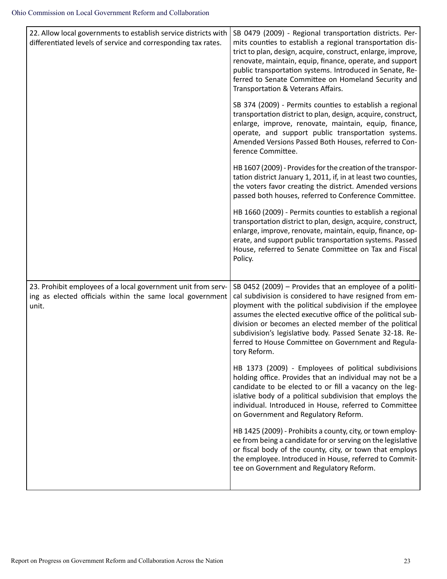| 22. Allow local governments to establish service districts with<br>differentiated levels of service and corresponding tax rates.   | SB 0479 (2009) - Regional transportation districts. Per-<br>mits counties to establish a regional transportation dis-<br>trict to plan, design, acquire, construct, enlarge, improve,<br>renovate, maintain, equip, finance, operate, and support<br>public transportation systems. Introduced in Senate, Re-<br>ferred to Senate Committee on Homeland Security and<br>Transportation & Veterans Affairs.                               |
|------------------------------------------------------------------------------------------------------------------------------------|------------------------------------------------------------------------------------------------------------------------------------------------------------------------------------------------------------------------------------------------------------------------------------------------------------------------------------------------------------------------------------------------------------------------------------------|
|                                                                                                                                    | SB 374 (2009) - Permits counties to establish a regional<br>transportation district to plan, design, acquire, construct,<br>enlarge, improve, renovate, maintain, equip, finance,<br>operate, and support public transportation systems.<br>Amended Versions Passed Both Houses, referred to Con-<br>ference Committee.                                                                                                                  |
|                                                                                                                                    | HB 1607 (2009) - Provides for the creation of the transpor-<br>tation district January 1, 2011, if, in at least two counties,<br>the voters favor creating the district. Amended versions<br>passed both houses, referred to Conference Committee.                                                                                                                                                                                       |
|                                                                                                                                    | HB 1660 (2009) - Permits counties to establish a regional<br>transportation district to plan, design, acquire, construct,<br>enlarge, improve, renovate, maintain, equip, finance, op-<br>erate, and support public transportation systems. Passed<br>House, referred to Senate Committee on Tax and Fiscal<br>Policy.                                                                                                                   |
| 23. Prohibit employees of a local government unit from serv-<br>ing as elected officials within the same local government<br>unit. | SB 0452 (2009) - Provides that an employee of a politi-<br>cal subdivision is considered to have resigned from em-<br>ployment with the political subdivision if the employee<br>assumes the elected executive office of the political sub-<br>division or becomes an elected member of the political<br>subdivision's legislative body. Passed Senate 32-18. Re-<br>ferred to House Committee on Government and Regula-<br>tory Reform. |
|                                                                                                                                    | HB 1373 (2009) - Employees of political subdivisions<br>holding office. Provides that an individual may not be a<br>candidate to be elected to or fill a vacancy on the leg-<br>islative body of a political subdivision that employs the<br>individual. Introduced in House, referred to Committee<br>on Government and Regulatory Reform.                                                                                              |
|                                                                                                                                    | HB 1425 (2009) - Prohibits a county, city, or town employ-<br>ee from being a candidate for or serving on the legislative<br>or fiscal body of the county, city, or town that employs<br>the employee. Introduced in House, referred to Commit-<br>tee on Government and Regulatory Reform.                                                                                                                                              |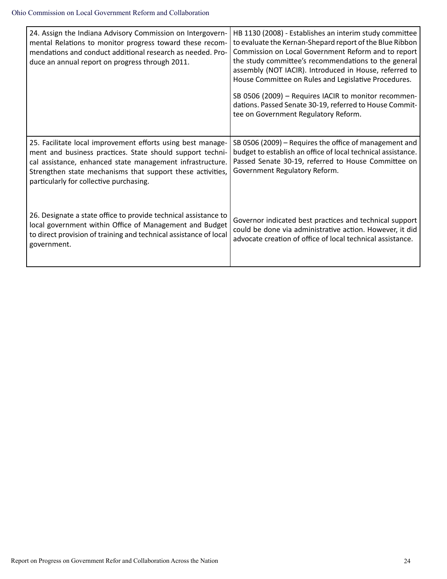| 24. Assign the Indiana Advisory Commission on Intergovern-<br>mental Relations to monitor progress toward these recom-<br>mendations and conduct additional research as needed. Pro-<br>duce an annual report on progress through 2011.                                                        | HB 1130 (2008) - Establishes an interim study committee<br>to evaluate the Kernan-Shepard report of the Blue Ribbon<br>Commission on Local Government Reform and to report<br>the study committee's recommendations to the general<br>assembly (NOT IACIR). Introduced in House, referred to<br>House Committee on Rules and Legislative Procedures.<br>SB 0506 (2009) - Requires IACIR to monitor recommen-<br>dations. Passed Senate 30-19, referred to House Commit-<br>tee on Government Regulatory Reform. |
|------------------------------------------------------------------------------------------------------------------------------------------------------------------------------------------------------------------------------------------------------------------------------------------------|-----------------------------------------------------------------------------------------------------------------------------------------------------------------------------------------------------------------------------------------------------------------------------------------------------------------------------------------------------------------------------------------------------------------------------------------------------------------------------------------------------------------|
| 25. Facilitate local improvement efforts using best manage-<br>ment and business practices. State should support techni-<br>cal assistance, enhanced state management infrastructure.<br>Strengthen state mechanisms that support these activities,<br>particularly for collective purchasing. | SB 0506 (2009) – Requires the office of management and<br>budget to establish an office of local technical assistance.<br>Passed Senate 30-19, referred to House Committee on<br>Government Regulatory Reform.                                                                                                                                                                                                                                                                                                  |
| 26. Designate a state office to provide technical assistance to<br>local government within Office of Management and Budget<br>to direct provision of training and technical assistance of local<br>government.                                                                                 | Governor indicated best practices and technical support<br>could be done via administrative action. However, it did<br>advocate creation of office of local technical assistance.                                                                                                                                                                                                                                                                                                                               |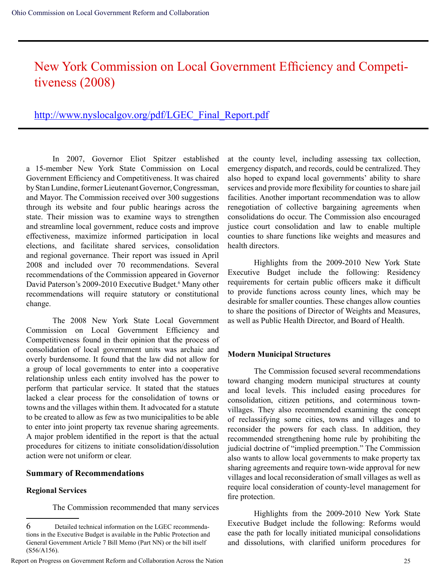## New York Commission on Local Government Efficiency and Competitiveness (2008)

### http://www.nyslocalgov.org/pdf/LGEC\_Final\_Report.pdf

In 2007, Governor Eliot Spitzer established a 15-member New York State Commission on Local Government Efficiency and Competitiveness. It was chaired by Stan Lundine, former Lieutenant Governor, Congressman, and Mayor. The Commission received over 300 suggestions through its website and four public hearings across the state. Their mission was to examine ways to strengthen and streamline local government, reduce costs and improve effectiveness, maximize informed participation in local elections, and facilitate shared services, consolidation and regional governance. Their report was issued in April 2008 and included over 70 recommendations. Several recommendations of the Commission appeared in Governor David Paterson's 2009-2010 Executive Budget.<sup>6</sup> Many other recommendations will require statutory or constitutional change.

The 2008 New York State Local Government Commission on Local Government Efficiency and Competitiveness found in their opinion that the process of consolidation of local government units was archaic and overly burdensome. It found that the law did not allow for a group of local governments to enter into a cooperative relationship unless each entity involved has the power to perform that particular service. It stated that the statues lacked a clear process for the consolidation of towns or towns and the villages within them. It advocated for a statute to be created to allow as few as two municipalities to be able to enter into joint property tax revenue sharing agreements. A major problem identified in the report is that the actual procedures for citizens to initiate consolidation/dissolution action were not uniform or clear.

#### **Summary of Recommendations**

#### **Regional Services**

The Commission recommended that many services

at the county level, including assessing tax collection, emergency dispatch, and records, could be centralized. They also hoped to expand local governments' ability to share services and provide more flexibility for counties to share jail facilities. Another important recommendation was to allow renegotiation of collective bargaining agreements when consolidations do occur. The Commission also encouraged justice court consolidation and law to enable multiple counties to share functions like weights and measures and health directors.

Highlights from the 2009-2010 New York State Executive Budget include the following: Residency requirements for certain public officers make it difficult to provide functions across county lines, which may be desirable for smaller counties. These changes allow counties to share the positions of Director of Weights and Measures, as well as Public Health Director, and Board of Health.

### **Modern Municipal Structures**

The Commission focused several recommendations toward changing modern municipal structures at county and local levels. This included easing procedures for consolidation, citizen petitions, and coterminous townvillages. They also recommended examining the concept of reclassifying some cities, towns and villages and to reconsider the powers for each class. In addition, they recommended strengthening home rule by prohibiting the judicial doctrine of "implied preemption." The Commission also wants to allow local governments to make property tax sharing agreements and require town-wide approval for new villages and local reconsideration of small villages as well as require local consideration of county-level management for fire protection.

Highlights from the 2009-2010 New York State Executive Budget include the following: Reforms would ease the path for locally initiated municipal consolidations and dissolutions, with clarified uniform procedures for

<sup>6</sup> Detailed technical information on the LGEC recommendations in the Executive Budget is available in the Public Protection and General Government Article 7 Bill Memo (Part NN) or the bill itself (S56/A156).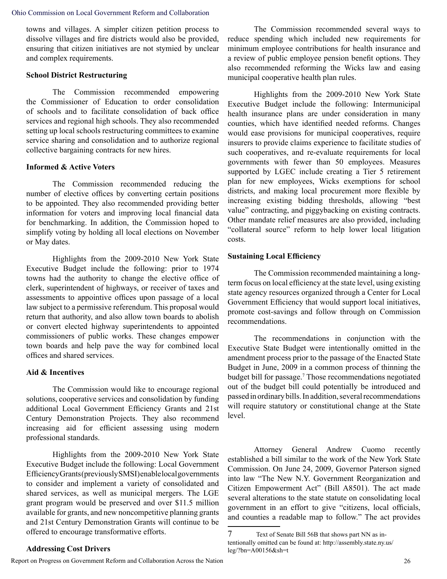towns and villages. A simpler citizen petition process to dissolve villages and fire districts would also be provided, ensuring that citizen initiatives are not stymied by unclear and complex requirements.

#### **School District Restructuring**

The Commission recommended empowering the Commissioner of Education to order consolidation of schools and to facilitate consolidation of back office services and regional high schools. They also recommended setting up local schools restructuring committees to examine service sharing and consolidation and to authorize regional collective bargaining contracts for new hires.

#### **Informed & Active Voters**

The Commission recommended reducing the number of elective offices by converting certain positions to be appointed. They also recommended providing better information for voters and improving local financial data for benchmarking. In addition, the Commission hoped to simplify voting by holding all local elections on November or May dates.

Highlights from the 2009-2010 New York State Executive Budget include the following: prior to 1974 towns had the authority to change the elective office of clerk, superintendent of highways, or receiver of taxes and assessments to appointive offices upon passage of a local law subject to a permissive referendum. This proposal would return that authority, and also allow town boards to abolish or convert elected highway superintendents to appointed commissioners of public works. These changes empower town boards and help pave the way for combined local offices and shared services.

#### **Aid & Incentives**

The Commission would like to encourage regional solutions, cooperative services and consolidation by funding additional Local Government Efficiency Grants and 21st Century Demonstration Projects. They also recommend increasing aid for efficient assessing using modern professional standards.

Highlights from the 2009-2010 New York State Executive Budget include the following: Local Government Efficiency Grants (previously SMSI) enable local governments to consider and implement a variety of consolidated and shared services, as well as municipal mergers. The LGE grant program would be preserved and over \$11.5 million available for grants, and new noncompetitive planning grants and 21st Century Demonstration Grants will continue to be offered to encourage transformative efforts.

#### **Addressing Cost Drivers**

Report on Progress on Government Reform and Collaboration Across the Nation 26

The Commission recommended several ways to reduce spending which included new requirements for minimum employee contributions for health insurance and a review of public employee pension benefit options. They also recommended reforming the Wicks law and easing municipal cooperative health plan rules.

Highlights from the 2009-2010 New York State Executive Budget include the following: Intermunicipal health insurance plans are under consideration in many counties, which have identified needed reforms. Changes would ease provisions for municipal cooperatives, require insurers to provide claims experience to facilitate studies of such cooperatives, and re-evaluate requirements for local governments with fewer than 50 employees. Measures supported by LGEC include creating a Tier 5 retirement plan for new employees, Wicks exemptions for school districts, and making local procurement more flexible by increasing existing bidding thresholds, allowing "best value" contracting, and piggybacking on existing contracts. Other mandate relief measures are also provided, including "collateral source" reform to help lower local litigation costs.

#### **Sustaining Local Efficiency**

The Commission recommended maintaining a longterm focus on local efficiency at the state level, using existing state agency resources organized through a Center for Local Government Efficiency that would support local initiatives, promote cost-savings and follow through on Commission recommendations.

The recommendations in conjunction with the Executive State Budget were intentionally omitted in the amendment process prior to the passage of the Enacted State Budget in June, 2009 in a common process of thinning the budget bill for passage.7 Those recommendations negotiated out of the budget bill could potentially be introduced and passed in ordinary bills. In addition, several recommendations will require statutory or constitutional change at the State level.

Attorney General Andrew Cuomo recently established a bill similar to the work of the New York State Commission. On June 24, 2009, Governor Paterson signed into law "The New N.Y. Government Reorganization and Citizen Empowerment Act" (Bill A8501). The act made several alterations to the state statute on consolidating local government in an effort to give "citizens, local officials, and counties a readable map to follow." The act provides

<sup>7</sup> Text of Senate Bill 56B that shows part NN as intentionally omitted can be found at: http://assembly.state.ny.us/ leg/?bn=A00156&sh=t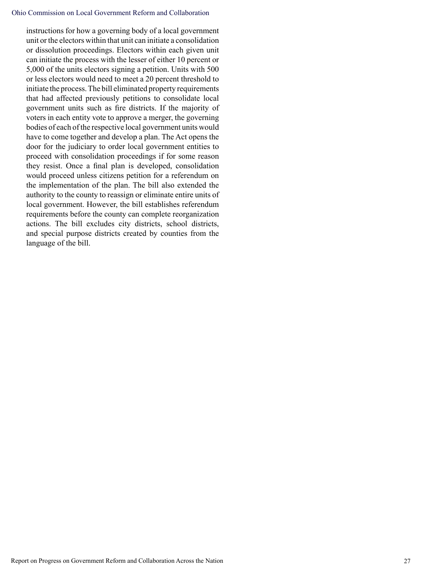#### Ohio Commission on Local Government Reform and Collaboration

instructions for how a governing body of a local government unit or the electors within that unit can initiate a consolidation or dissolution proceedings. Electors within each given unit can initiate the process with the lesser of either 10 percent or 5,000 of the units electors signing a petition. Units with 500 or less electors would need to meet a 20 percent threshold to initiate the process. The bill eliminated property requirements that had affected previously petitions to consolidate local government units such as fire districts. If the majority of voters in each entity vote to approve a merger, the governing bodies of each of the respective local government units would have to come together and develop a plan. The Act opens the door for the judiciary to order local government entities to proceed with consolidation proceedings if for some reason they resist. Once a final plan is developed, consolidation would proceed unless citizens petition for a referendum on the implementation of the plan. The bill also extended the authority to the county to reassign or eliminate entire units of local government. However, the bill establishes referendum requirements before the county can complete reorganization actions. The bill excludes city districts, school districts, and special purpose districts created by counties from the language of the bill.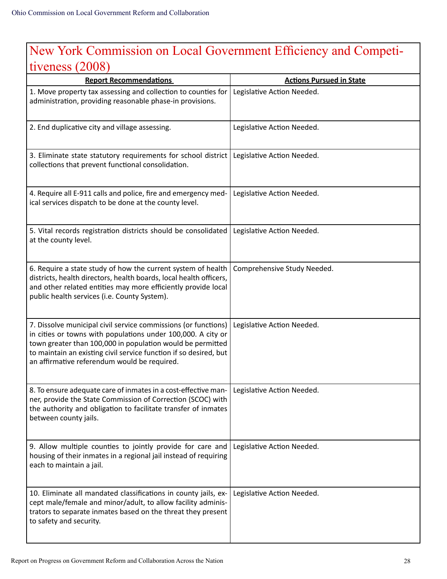## New York Commission on Local Government Efficiency and Competitiveness (2008)

| <b>Report Recommendations</b>                                                                                                                                                                                                                                                                                     | <b>Actions Pursued in State</b> |
|-------------------------------------------------------------------------------------------------------------------------------------------------------------------------------------------------------------------------------------------------------------------------------------------------------------------|---------------------------------|
| 1. Move property tax assessing and collection to counties for<br>administration, providing reasonable phase-in provisions.                                                                                                                                                                                        | Legislative Action Needed.      |
| 2. End duplicative city and village assessing.                                                                                                                                                                                                                                                                    | Legislative Action Needed.      |
| 3. Eliminate state statutory requirements for school district<br>collections that prevent functional consolidation.                                                                                                                                                                                               | Legislative Action Needed.      |
| 4. Require all E-911 calls and police, fire and emergency med-<br>ical services dispatch to be done at the county level.                                                                                                                                                                                          | Legislative Action Needed.      |
| 5. Vital records registration districts should be consolidated<br>at the county level.                                                                                                                                                                                                                            | Legislative Action Needed.      |
| 6. Require a state study of how the current system of health<br>districts, health directors, health boards, local health officers,<br>and other related entities may more efficiently provide local<br>public health services (i.e. County System).                                                               | Comprehensive Study Needed.     |
| 7. Dissolve municipal civil service commissions (or functions)<br>in cities or towns with populations under 100,000. A city or<br>town greater than 100,000 in population would be permitted<br>to maintain an existing civil service function if so desired, but<br>an affirmative referendum would be required. | Legislative Action Needed.      |
| 8. To ensure adequate care of inmates in a cost-effective man-<br>ner, provide the State Commission of Correction (SCOC) with<br>the authority and obligation to facilitate transfer of inmates<br>between county jails.                                                                                          | Legislative Action Needed.      |
| 9. Allow multiple counties to jointly provide for care and<br>housing of their inmates in a regional jail instead of requiring<br>each to maintain a jail.                                                                                                                                                        | Legislative Action Needed.      |
| 10. Eliminate all mandated classifications in county jails, ex-<br>cept male/female and minor/adult, to allow facility adminis-<br>trators to separate inmates based on the threat they present<br>to safety and security.                                                                                        | Legislative Action Needed.      |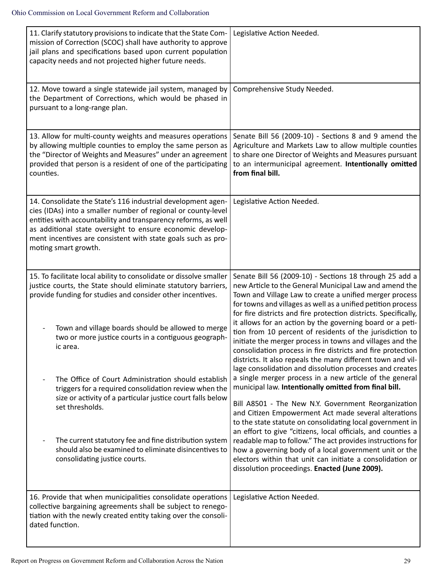| 11. Clarify statutory provisions to indicate that the State Com-<br>mission of Correction (SCOC) shall have authority to approve<br>jail plans and specifications based upon current population<br>capacity needs and not projected higher future needs.                                                                                             | Legislative Action Needed.                                                                                                                                                                                                                                                                                                                                                                                              |
|------------------------------------------------------------------------------------------------------------------------------------------------------------------------------------------------------------------------------------------------------------------------------------------------------------------------------------------------------|-------------------------------------------------------------------------------------------------------------------------------------------------------------------------------------------------------------------------------------------------------------------------------------------------------------------------------------------------------------------------------------------------------------------------|
| 12. Move toward a single statewide jail system, managed by<br>the Department of Corrections, which would be phased in<br>pursuant to a long-range plan.                                                                                                                                                                                              | Comprehensive Study Needed.                                                                                                                                                                                                                                                                                                                                                                                             |
| 13. Allow for multi-county weights and measures operations<br>by allowing multiple counties to employ the same person as<br>the "Director of Weights and Measures" under an agreement<br>provided that person is a resident of one of the participating<br>counties.                                                                                 | Senate Bill 56 (2009-10) - Sections 8 and 9 amend the<br>Agriculture and Markets Law to allow multiple counties<br>to share one Director of Weights and Measures pursuant<br>to an intermunicipal agreement. Intentionally omitted<br>from final bill.                                                                                                                                                                  |
| 14. Consolidate the State's 116 industrial development agen-<br>cies (IDAs) into a smaller number of regional or county-level<br>entities with accountability and transparency reforms, as well<br>as additional state oversight to ensure economic develop-<br>ment incentives are consistent with state goals such as pro-<br>moting smart growth. | Legislative Action Needed.                                                                                                                                                                                                                                                                                                                                                                                              |
| 15. To facilitate local ability to consolidate or dissolve smaller<br>justice courts, the State should eliminate statutory barriers,<br>provide funding for studies and consider other incentives.                                                                                                                                                   | Senate Bill 56 (2009-10) - Sections 18 through 25 add a<br>new Article to the General Municipal Law and amend the<br>Town and Village Law to create a unified merger process<br>for towns and villages as well as a unified petition process<br>for fire districts and fire protection districts. Specifically,                                                                                                         |
| Town and village boards should be allowed to merge<br>two or more justice courts in a contiguous geograph-<br>ic area.                                                                                                                                                                                                                               | it allows for an action by the governing board or a peti-<br>tion from 10 percent of residents of the jurisdiction to<br>initiate the merger process in towns and villages and the<br>consolidation process in fire districts and fire protection<br>districts. It also repeals the many different town and vil-<br>lage consolidation and dissolution processes and creates                                            |
| The Office of Court Administration should establish<br>triggers for a required consolidation review when the<br>size or activity of a particular justice court falls below<br>set thresholds.                                                                                                                                                        | a single merger process in a new article of the general<br>municipal law. Intentionally omitted from final bill.<br>Bill A8501 - The New N.Y. Government Reorganization                                                                                                                                                                                                                                                 |
| The current statutory fee and fine distribution system<br>should also be examined to eliminate disincentives to<br>consolidating justice courts.                                                                                                                                                                                                     | and Citizen Empowerment Act made several alterations<br>to the state statute on consolidating local government in<br>an effort to give "citizens, local officials, and counties a<br>readable map to follow." The act provides instructions for<br>how a governing body of a local government unit or the<br>electors within that unit can initiate a consolidation or<br>dissolution proceedings. Enacted (June 2009). |
| 16. Provide that when municipalities consolidate operations<br>collective bargaining agreements shall be subject to renego-<br>tiation with the newly created entity taking over the consoli-<br>dated function.                                                                                                                                     | Legislative Action Needed.                                                                                                                                                                                                                                                                                                                                                                                              |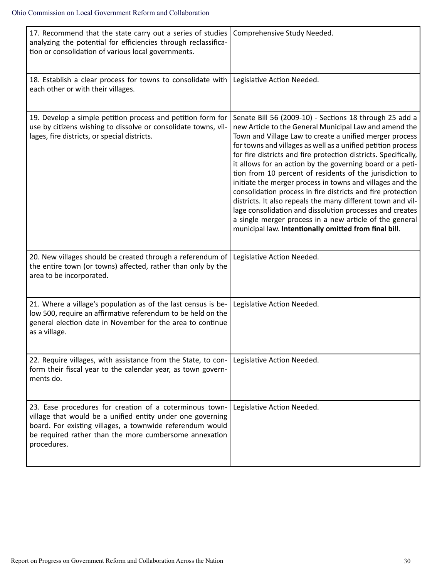| 17. Recommend that the state carry out a series of studies<br>analyzing the potential for efficiencies through reclassifica-<br>tion or consolidation of various local governments.                                                                         | Comprehensive Study Needed.                                                                                                                                                                                                                                                                                                                                                                                                                                                                                                                                                                                                                                                                                                                                                                                         |
|-------------------------------------------------------------------------------------------------------------------------------------------------------------------------------------------------------------------------------------------------------------|---------------------------------------------------------------------------------------------------------------------------------------------------------------------------------------------------------------------------------------------------------------------------------------------------------------------------------------------------------------------------------------------------------------------------------------------------------------------------------------------------------------------------------------------------------------------------------------------------------------------------------------------------------------------------------------------------------------------------------------------------------------------------------------------------------------------|
| 18. Establish a clear process for towns to consolidate with<br>each other or with their villages.                                                                                                                                                           | Legislative Action Needed.                                                                                                                                                                                                                                                                                                                                                                                                                                                                                                                                                                                                                                                                                                                                                                                          |
| 19. Develop a simple petition process and petition form for<br>use by citizens wishing to dissolve or consolidate towns, vil-<br>lages, fire districts, or special districts.                                                                               | Senate Bill 56 (2009-10) - Sections 18 through 25 add a<br>new Article to the General Municipal Law and amend the<br>Town and Village Law to create a unified merger process<br>for towns and villages as well as a unified petition process<br>for fire districts and fire protection districts. Specifically,<br>it allows for an action by the governing board or a peti-<br>tion from 10 percent of residents of the jurisdiction to<br>initiate the merger process in towns and villages and the<br>consolidation process in fire districts and fire protection<br>districts. It also repeals the many different town and vil-<br>lage consolidation and dissolution processes and creates<br>a single merger process in a new article of the general<br>municipal law. Intentionally omitted from final bill. |
| 20. New villages should be created through a referendum of<br>the entire town (or towns) affected, rather than only by the<br>area to be incorporated.                                                                                                      | Legislative Action Needed.                                                                                                                                                                                                                                                                                                                                                                                                                                                                                                                                                                                                                                                                                                                                                                                          |
| 21. Where a village's population as of the last census is be-<br>low 500, require an affirmative referendum to be held on the<br>general election date in November for the area to continue<br>as a village.                                                | Legislative Action Needed.                                                                                                                                                                                                                                                                                                                                                                                                                                                                                                                                                                                                                                                                                                                                                                                          |
| 22. Require villages, with assistance from the State, to con-<br>form their fiscal year to the calendar year, as town govern-<br>ments do.                                                                                                                  | Legislative Action Needed.                                                                                                                                                                                                                                                                                                                                                                                                                                                                                                                                                                                                                                                                                                                                                                                          |
| 23. Ease procedures for creation of a coterminous town-<br>village that would be a unified entity under one governing<br>board. For existing villages, a townwide referendum would<br>be required rather than the more cumbersome annexation<br>procedures. | Legislative Action Needed.                                                                                                                                                                                                                                                                                                                                                                                                                                                                                                                                                                                                                                                                                                                                                                                          |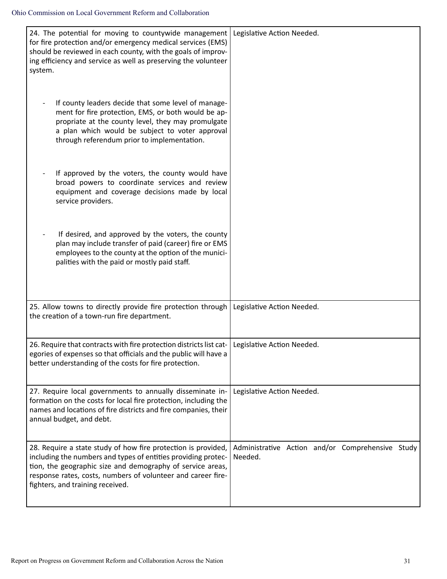| 24. The potential for moving to countywide management   Legislative Action Needed.<br>for fire protection and/or emergency medical services (EMS)<br>should be reviewed in each county, with the goals of improv-<br>ing efficiency and service as well as preserving the volunteer<br>system.   |                                                             |
|--------------------------------------------------------------------------------------------------------------------------------------------------------------------------------------------------------------------------------------------------------------------------------------------------|-------------------------------------------------------------|
| If county leaders decide that some level of manage-<br>ment for fire protection, EMS, or both would be ap-<br>propriate at the county level, they may promulgate<br>a plan which would be subject to voter approval<br>through referendum prior to implementation.                               |                                                             |
| If approved by the voters, the county would have<br>broad powers to coordinate services and review<br>equipment and coverage decisions made by local<br>service providers.                                                                                                                       |                                                             |
| If desired, and approved by the voters, the county<br>plan may include transfer of paid (career) fire or EMS<br>employees to the county at the option of the munici-<br>palities with the paid or mostly paid staff.                                                                             |                                                             |
| 25. Allow towns to directly provide fire protection through<br>the creation of a town-run fire department.                                                                                                                                                                                       | Legislative Action Needed.                                  |
| 26. Require that contracts with fire protection districts list cat-<br>egories of expenses so that officials and the public will have a<br>better understanding of the costs for fire protection.                                                                                                | Legislative Action Needed.                                  |
| 27. Require local governments to annually disseminate in-<br>formation on the costs for local fire protection, including the<br>names and locations of fire districts and fire companies, their<br>annual budget, and debt.                                                                      | Legislative Action Needed.                                  |
| 28. Require a state study of how fire protection is provided,<br>including the numbers and types of entities providing protec-<br>tion, the geographic size and demography of service areas,<br>response rates, costs, numbers of volunteer and career fire-<br>fighters, and training received. | Administrative Action and/or Comprehensive Study<br>Needed. |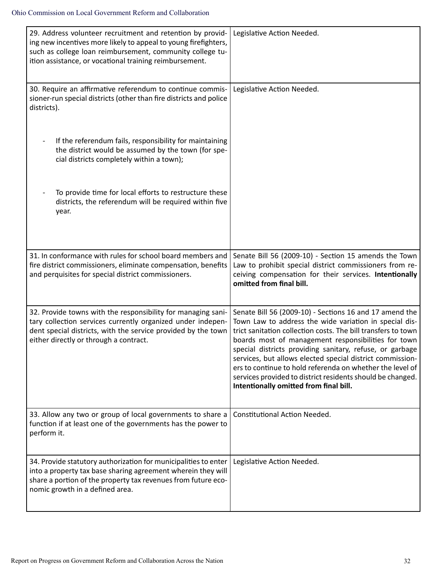| 29. Address volunteer recruitment and retention by provid-<br>ing new incentives more likely to appeal to young firefighters,<br>such as college loan reimbursement, community college tu-<br>ition assistance, or vocational training reimbursement. | Legislative Action Needed.                                                                                                                                                                                                                                                                                                                                                                                                                                                                                                              |
|-------------------------------------------------------------------------------------------------------------------------------------------------------------------------------------------------------------------------------------------------------|-----------------------------------------------------------------------------------------------------------------------------------------------------------------------------------------------------------------------------------------------------------------------------------------------------------------------------------------------------------------------------------------------------------------------------------------------------------------------------------------------------------------------------------------|
| 30. Require an affirmative referendum to continue commis-<br>sioner-run special districts (other than fire districts and police<br>districts).                                                                                                        | Legislative Action Needed.                                                                                                                                                                                                                                                                                                                                                                                                                                                                                                              |
| If the referendum fails, responsibility for maintaining<br>$\overline{a}$<br>the district would be assumed by the town (for spe-<br>cial districts completely within a town);                                                                         |                                                                                                                                                                                                                                                                                                                                                                                                                                                                                                                                         |
| To provide time for local efforts to restructure these<br>districts, the referendum will be required within five<br>year.                                                                                                                             |                                                                                                                                                                                                                                                                                                                                                                                                                                                                                                                                         |
| 31. In conformance with rules for school board members and<br>fire district commissioners, eliminate compensation, benefits<br>and perquisites for special district commissioners.                                                                    | Senate Bill 56 (2009-10) - Section 15 amends the Town<br>Law to prohibit special district commissioners from re-<br>ceiving compensation for their services. Intentionally<br>omitted from final bill.                                                                                                                                                                                                                                                                                                                                  |
| 32. Provide towns with the responsibility for managing sani-<br>tary collection services currently organized under indepen-<br>dent special districts, with the service provided by the town<br>either directly or through a contract.                | Senate Bill 56 (2009-10) - Sections 16 and 17 amend the<br>Town Law to address the wide variation in special dis-<br>trict sanitation collection costs. The bill transfers to town<br>boards most of management responsibilities for town<br>special districts providing sanitary, refuse, or garbage<br>services, but allows elected special district commission-<br>ers to continue to hold referenda on whether the level of<br>services provided to district residents should be changed.<br>Intentionally omitted from final bill. |
| 33. Allow any two or group of local governments to share a<br>function if at least one of the governments has the power to<br>perform it.                                                                                                             | <b>Constitutional Action Needed.</b>                                                                                                                                                                                                                                                                                                                                                                                                                                                                                                    |
| 34. Provide statutory authorization for municipalities to enter<br>into a property tax base sharing agreement wherein they will<br>share a portion of the property tax revenues from future eco-<br>nomic growth in a defined area.                   | Legislative Action Needed.                                                                                                                                                                                                                                                                                                                                                                                                                                                                                                              |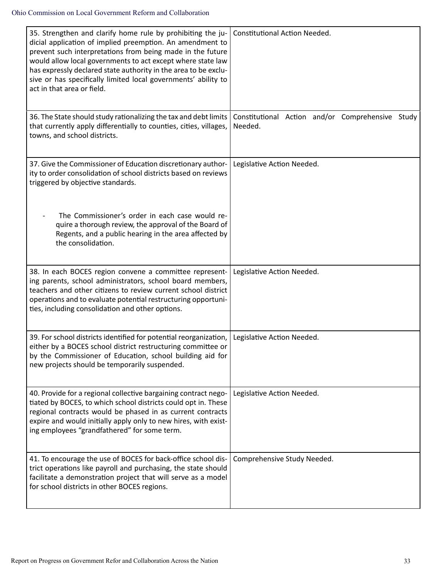| 35. Strengthen and clarify home rule by prohibiting the ju-<br>dicial application of implied preemption. An amendment to<br>prevent such interpretations from being made in the future<br>would allow local governments to act except where state law<br>has expressly declared state authority in the area to be exclu-<br>sive or has specifically limited local governments' ability to<br>act in that area or field. | Constitutional Action Needed.                               |
|--------------------------------------------------------------------------------------------------------------------------------------------------------------------------------------------------------------------------------------------------------------------------------------------------------------------------------------------------------------------------------------------------------------------------|-------------------------------------------------------------|
| 36. The State should study rationalizing the tax and debt limits<br>that currently apply differentially to counties, cities, villages,<br>towns, and school districts.                                                                                                                                                                                                                                                   | Constitutional Action and/or Comprehensive Study<br>Needed. |
| 37. Give the Commissioner of Education discretionary author-<br>ity to order consolidation of school districts based on reviews<br>triggered by objective standards.                                                                                                                                                                                                                                                     | Legislative Action Needed.                                  |
| The Commissioner's order in each case would re-<br>quire a thorough review, the approval of the Board of<br>Regents, and a public hearing in the area affected by<br>the consolidation.                                                                                                                                                                                                                                  |                                                             |
| 38. In each BOCES region convene a committee represent-<br>ing parents, school administrators, school board members,<br>teachers and other citizens to review current school district<br>operations and to evaluate potential restructuring opportuni-<br>ties, including consolidation and other options.                                                                                                               | Legislative Action Needed.                                  |
| 39. For school districts identified for potential reorganization,<br>either by a BOCES school district restructuring committee or<br>by the Commissioner of Education, school building aid for<br>new projects should be temporarily suspended.                                                                                                                                                                          | Legislative Action Needed.                                  |
| 40. Provide for a regional collective bargaining contract nego-<br>tiated by BOCES, to which school districts could opt in. These<br>regional contracts would be phased in as current contracts<br>expire and would initially apply only to new hires, with exist-<br>ing employees "grandfathered" for some term.                                                                                                       | Legislative Action Needed.                                  |
| 41. To encourage the use of BOCES for back-office school dis-<br>trict operations like payroll and purchasing, the state should<br>facilitate a demonstration project that will serve as a model<br>for school districts in other BOCES regions.                                                                                                                                                                         | Comprehensive Study Needed.                                 |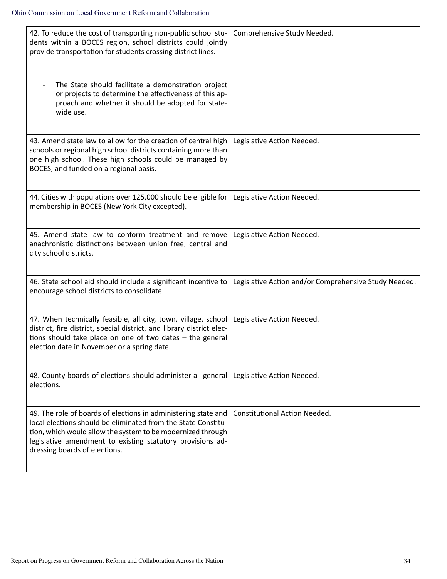| 42. To reduce the cost of transporting non-public school stu-<br>dents within a BOCES region, school districts could jointly<br>provide transportation for students crossing district lines.<br>The State should facilitate a demonstration project<br>or projects to determine the effectiveness of this ap-<br>proach and whether it should be adopted for state-<br>wide use. | Comprehensive Study Needed.                           |
|----------------------------------------------------------------------------------------------------------------------------------------------------------------------------------------------------------------------------------------------------------------------------------------------------------------------------------------------------------------------------------|-------------------------------------------------------|
| 43. Amend state law to allow for the creation of central high<br>schools or regional high school districts containing more than<br>one high school. These high schools could be managed by<br>BOCES, and funded on a regional basis.                                                                                                                                             | Legislative Action Needed.                            |
| 44. Cities with populations over 125,000 should be eligible for<br>membership in BOCES (New York City excepted).                                                                                                                                                                                                                                                                 | Legislative Action Needed.                            |
| 45. Amend state law to conform treatment and remove<br>anachronistic distinctions between union free, central and<br>city school districts.                                                                                                                                                                                                                                      | Legislative Action Needed.                            |
| 46. State school aid should include a significant incentive to<br>encourage school districts to consolidate.                                                                                                                                                                                                                                                                     | Legislative Action and/or Comprehensive Study Needed. |
| 47. When technically feasible, all city, town, village, school<br>district, fire district, special district, and library district elec-<br>tions should take place on one of two dates $-$ the general<br>election date in November or a spring date.                                                                                                                            | Legislative Action Needed.                            |
| 48. County boards of elections should administer all general   Legislative Action Needed.<br>elections.                                                                                                                                                                                                                                                                          |                                                       |
| 49. The role of boards of elections in administering state and<br>local elections should be eliminated from the State Constitu-<br>tion, which would allow the system to be modernized through<br>legislative amendment to existing statutory provisions ad-<br>dressing boards of elections.                                                                                    | <b>Constitutional Action Needed.</b>                  |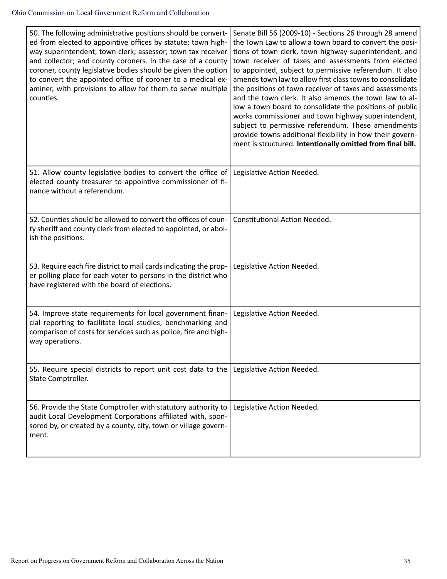| 50. The following administrative positions should be convert-<br>ed from elected to appointive offices by statute: town high-<br>way superintendent; town clerk; assessor; town tax receiver<br>and collector; and county coroners. In the case of a county<br>coroner, county legislative bodies should be given the option<br>to convert the appointed office of coroner to a medical ex-<br>aminer, with provisions to allow for them to serve multiple<br>counties. | Senate Bill 56 (2009-10) - Sections 26 through 28 amend<br>the Town Law to allow a town board to convert the posi-<br>tions of town clerk, town highway superintendent, and<br>town receiver of taxes and assessments from elected<br>to appointed, subject to permissive referendum. It also<br>amends town law to allow first class towns to consolidate<br>the positions of town receiver of taxes and assessments<br>and the town clerk. It also amends the town law to al-<br>low a town board to consolidate the positions of public<br>works commissioner and town highway superintendent,<br>subject to permissive referendum. These amendments<br>provide towns additional flexibility in how their govern-<br>ment is structured. Intentionally omitted from final bill. |
|-------------------------------------------------------------------------------------------------------------------------------------------------------------------------------------------------------------------------------------------------------------------------------------------------------------------------------------------------------------------------------------------------------------------------------------------------------------------------|------------------------------------------------------------------------------------------------------------------------------------------------------------------------------------------------------------------------------------------------------------------------------------------------------------------------------------------------------------------------------------------------------------------------------------------------------------------------------------------------------------------------------------------------------------------------------------------------------------------------------------------------------------------------------------------------------------------------------------------------------------------------------------|
| 51. Allow county legislative bodies to convert the office of<br>elected county treasurer to appointive commissioner of fi-<br>nance without a referendum.                                                                                                                                                                                                                                                                                                               | Legislative Action Needed.                                                                                                                                                                                                                                                                                                                                                                                                                                                                                                                                                                                                                                                                                                                                                         |
| 52. Counties should be allowed to convert the offices of coun-<br>ty sheriff and county clerk from elected to appointed, or abol-<br>ish the positions.                                                                                                                                                                                                                                                                                                                 | <b>Constitutional Action Needed.</b>                                                                                                                                                                                                                                                                                                                                                                                                                                                                                                                                                                                                                                                                                                                                               |
| 53. Require each fire district to mail cards indicating the prop-<br>er polling place for each voter to persons in the district who<br>have registered with the board of elections.                                                                                                                                                                                                                                                                                     | Legislative Action Needed.                                                                                                                                                                                                                                                                                                                                                                                                                                                                                                                                                                                                                                                                                                                                                         |
| 54. Improve state requirements for local government finan-<br>cial reporting to facilitate local studies, benchmarking and<br>comparison of costs for services such as police, fire and high-<br>way operations.                                                                                                                                                                                                                                                        | Legislative Action Needed.                                                                                                                                                                                                                                                                                                                                                                                                                                                                                                                                                                                                                                                                                                                                                         |
| 55. Require special districts to report unit cost data to the<br>State Comptroller.                                                                                                                                                                                                                                                                                                                                                                                     | Legislative Action Needed.                                                                                                                                                                                                                                                                                                                                                                                                                                                                                                                                                                                                                                                                                                                                                         |
| 56. Provide the State Comptroller with statutory authority to<br>audit Local Development Corporations affiliated with, spon-<br>sored by, or created by a county, city, town or village govern-<br>ment.                                                                                                                                                                                                                                                                | Legislative Action Needed.                                                                                                                                                                                                                                                                                                                                                                                                                                                                                                                                                                                                                                                                                                                                                         |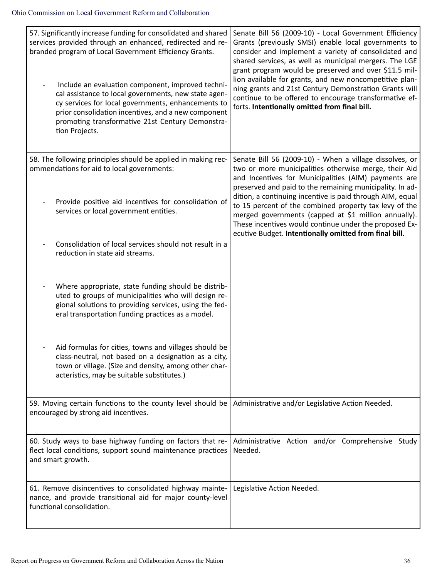| 57. Significantly increase funding for consolidated and shared<br>services provided through an enhanced, redirected and re-<br>branded program of Local Government Efficiency Grants.<br>Include an evaluation component, improved techni-<br>cal assistance to local governments, new state agen-<br>cy services for local governments, enhancements to<br>prior consolidation incentives, and a new component<br>promoting transformative 21st Century Demonstra-<br>tion Projects. | Senate Bill 56 (2009-10) - Local Government Efficiency<br>Grants (previously SMSI) enable local governments to<br>consider and implement a variety of consolidated and<br>shared services, as well as municipal mergers. The LGE<br>grant program would be preserved and over \$11.5 mil-<br>lion available for grants, and new noncompetitive plan-<br>ning grants and 21st Century Demonstration Grants will<br>continue to be offered to encourage transformative ef-<br>forts. Intentionally omitted from final bill.               |
|---------------------------------------------------------------------------------------------------------------------------------------------------------------------------------------------------------------------------------------------------------------------------------------------------------------------------------------------------------------------------------------------------------------------------------------------------------------------------------------|-----------------------------------------------------------------------------------------------------------------------------------------------------------------------------------------------------------------------------------------------------------------------------------------------------------------------------------------------------------------------------------------------------------------------------------------------------------------------------------------------------------------------------------------|
| 58. The following principles should be applied in making rec-<br>ommendations for aid to local governments:<br>Provide positive aid incentives for consolidation of<br>services or local government entities.                                                                                                                                                                                                                                                                         | Senate Bill 56 (2009-10) - When a village dissolves, or<br>two or more municipalities otherwise merge, their Aid<br>and Incentives for Municipalities (AIM) payments are<br>preserved and paid to the remaining municipality. In ad-<br>dition, a continuing incentive is paid through AIM, equal<br>to 15 percent of the combined property tax levy of the<br>merged governments (capped at \$1 million annually).<br>These incentives would continue under the proposed Ex-<br>ecutive Budget. Intentionally omitted from final bill. |
| Consolidation of local services should not result in a<br>reduction in state aid streams.                                                                                                                                                                                                                                                                                                                                                                                             |                                                                                                                                                                                                                                                                                                                                                                                                                                                                                                                                         |
| Where appropriate, state funding should be distrib-<br>uted to groups of municipalities who will design re-<br>gional solutions to providing services, using the fed-<br>eral transportation funding practices as a model.                                                                                                                                                                                                                                                            |                                                                                                                                                                                                                                                                                                                                                                                                                                                                                                                                         |
| Aid formulas for cities, towns and villages should be<br>class-neutral, not based on a designation as a city,<br>town or village. (Size and density, among other char-<br>acteristics, may be suitable substitutes.)                                                                                                                                                                                                                                                                  |                                                                                                                                                                                                                                                                                                                                                                                                                                                                                                                                         |
| 59. Moving certain functions to the county level should be<br>encouraged by strong aid incentives.                                                                                                                                                                                                                                                                                                                                                                                    | Administrative and/or Legislative Action Needed.                                                                                                                                                                                                                                                                                                                                                                                                                                                                                        |
| 60. Study ways to base highway funding on factors that re-<br>flect local conditions, support sound maintenance practices<br>and smart growth.                                                                                                                                                                                                                                                                                                                                        | Administrative Action and/or Comprehensive Study<br>Needed.                                                                                                                                                                                                                                                                                                                                                                                                                                                                             |
| 61. Remove disincentives to consolidated highway mainte-<br>nance, and provide transitional aid for major county-level<br>functional consolidation.                                                                                                                                                                                                                                                                                                                                   | Legislative Action Needed.                                                                                                                                                                                                                                                                                                                                                                                                                                                                                                              |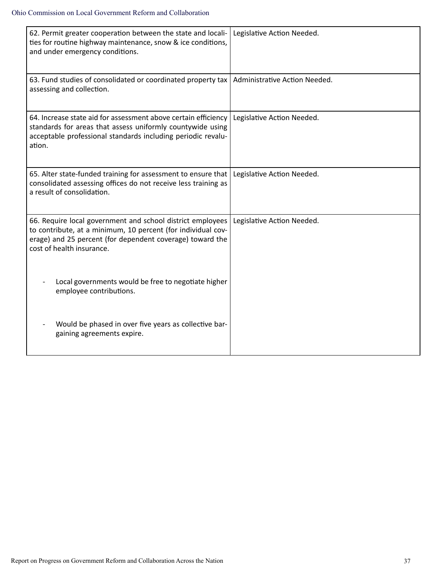| 62. Permit greater cooperation between the state and locali-<br>ties for routine highway maintenance, snow & ice conditions,<br>and under emergency conditions.                                                      | Legislative Action Needed.    |
|----------------------------------------------------------------------------------------------------------------------------------------------------------------------------------------------------------------------|-------------------------------|
| 63. Fund studies of consolidated or coordinated property tax<br>assessing and collection.                                                                                                                            | Administrative Action Needed. |
| 64. Increase state aid for assessment above certain efficiency<br>standards for areas that assess uniformly countywide using<br>acceptable professional standards including periodic revalu-<br>ation.               | Legislative Action Needed.    |
| 65. Alter state-funded training for assessment to ensure that<br>consolidated assessing offices do not receive less training as<br>a result of consolidation.                                                        | Legislative Action Needed.    |
| 66. Require local government and school district employees<br>to contribute, at a minimum, 10 percent (for individual cov-<br>erage) and 25 percent (for dependent coverage) toward the<br>cost of health insurance. | Legislative Action Needed.    |
| Local governments would be free to negotiate higher<br>employee contributions.                                                                                                                                       |                               |
| Would be phased in over five years as collective bar-<br>gaining agreements expire.                                                                                                                                  |                               |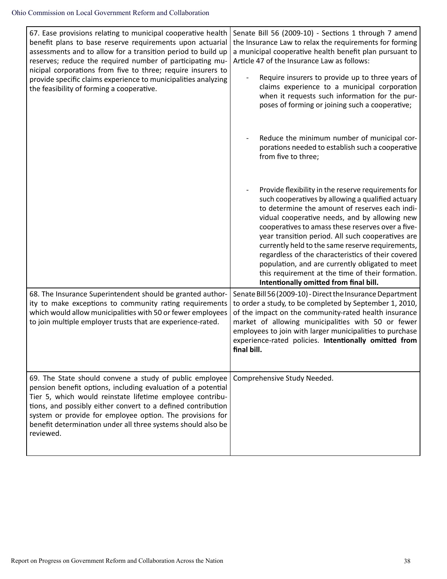| 67. Ease provisions relating to municipal cooperative health<br>benefit plans to base reserve requirements upon actuarial<br>assessments and to allow for a transition period to build up<br>reserves; reduce the required number of participating mu-<br>nicipal corporations from five to three; require insurers to<br>provide specific claims experience to municipalities analyzing<br>the feasibility of forming a cooperative. | Senate Bill 56 (2009-10) - Sections 1 through 7 amend<br>the Insurance Law to relax the requirements for forming<br>a municipal cooperative health benefit plan pursuant to<br>Article 47 of the Insurance Law as follows:<br>Require insurers to provide up to three years of<br>claims experience to a municipal corporation<br>when it requests such information for the pur-<br>poses of forming or joining such a cooperative;                                                                                                                                              |
|---------------------------------------------------------------------------------------------------------------------------------------------------------------------------------------------------------------------------------------------------------------------------------------------------------------------------------------------------------------------------------------------------------------------------------------|----------------------------------------------------------------------------------------------------------------------------------------------------------------------------------------------------------------------------------------------------------------------------------------------------------------------------------------------------------------------------------------------------------------------------------------------------------------------------------------------------------------------------------------------------------------------------------|
|                                                                                                                                                                                                                                                                                                                                                                                                                                       | Reduce the minimum number of municipal cor-<br>porations needed to establish such a cooperative<br>from five to three;                                                                                                                                                                                                                                                                                                                                                                                                                                                           |
|                                                                                                                                                                                                                                                                                                                                                                                                                                       | Provide flexibility in the reserve requirements for<br>such cooperatives by allowing a qualified actuary<br>to determine the amount of reserves each indi-<br>vidual cooperative needs, and by allowing new<br>cooperatives to amass these reserves over a five-<br>year transition period. All such cooperatives are<br>currently held to the same reserve requirements,<br>regardless of the characteristics of their covered<br>population, and are currently obligated to meet<br>this requirement at the time of their formation.<br>Intentionally omitted from final bill. |
| 68. The Insurance Superintendent should be granted author-<br>ity to make exceptions to community rating requirements<br>which would allow municipalities with 50 or fewer employees<br>to join multiple employer trusts that are experience-rated.                                                                                                                                                                                   | Senate Bill 56 (2009-10) - Direct the Insurance Department<br>to order a study, to be completed by September 1, 2010,<br>of the impact on the community-rated health insurance<br>market of allowing municipalities with 50 or fewer<br>employees to join with larger municipalities to purchase<br>experience-rated policies. Intentionally omitted from<br>final bill.                                                                                                                                                                                                         |
| 69. The State should convene a study of public employee<br>pension benefit options, including evaluation of a potential<br>Tier 5, which would reinstate lifetime employee contribu-<br>tions, and possibly either convert to a defined contribution<br>system or provide for employee option. The provisions for<br>benefit determination under all three systems should also be<br>reviewed.                                        | Comprehensive Study Needed.                                                                                                                                                                                                                                                                                                                                                                                                                                                                                                                                                      |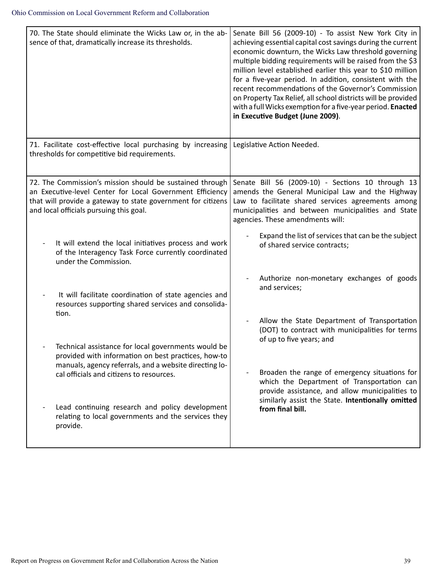| 70. The State should eliminate the Wicks Law or, in the ab-<br>sence of that, dramatically increase its thresholds.                                                                                                              | Senate Bill 56 (2009-10) - To assist New York City in<br>achieving essential capital cost savings during the current<br>economic downturn, the Wicks Law threshold governing<br>multiple bidding requirements will be raised from the \$3<br>million level established earlier this year to \$10 million<br>for a five-year period. In addition, consistent with the<br>recent recommendations of the Governor's Commission<br>on Property Tax Relief, all school districts will be provided<br>with a full Wicks exemption for a five-year period. Enacted<br>in Executive Budget (June 2009). |
|----------------------------------------------------------------------------------------------------------------------------------------------------------------------------------------------------------------------------------|-------------------------------------------------------------------------------------------------------------------------------------------------------------------------------------------------------------------------------------------------------------------------------------------------------------------------------------------------------------------------------------------------------------------------------------------------------------------------------------------------------------------------------------------------------------------------------------------------|
| 71. Facilitate cost-effective local purchasing by increasing<br>thresholds for competitive bid requirements.                                                                                                                     | Legislative Action Needed.                                                                                                                                                                                                                                                                                                                                                                                                                                                                                                                                                                      |
| 72. The Commission's mission should be sustained through<br>an Executive-level Center for Local Government Efficiency<br>that will provide a gateway to state government for citizens<br>and local officials pursuing this goal. | Senate Bill 56 (2009-10) - Sections 10 through 13<br>amends the General Municipal Law and the Highway<br>Law to facilitate shared services agreements among<br>municipalities and between municipalities and State<br>agencies. These amendments will:                                                                                                                                                                                                                                                                                                                                          |
| It will extend the local initiatives process and work<br>of the Interagency Task Force currently coordinated<br>under the Commission.                                                                                            | Expand the list of services that can be the subject<br>of shared service contracts;                                                                                                                                                                                                                                                                                                                                                                                                                                                                                                             |
| It will facilitate coordination of state agencies and<br>resources supporting shared services and consolida-<br>tion.                                                                                                            | Authorize non-monetary exchanges of goods<br>and services;                                                                                                                                                                                                                                                                                                                                                                                                                                                                                                                                      |
| Technical assistance for local governments would be<br>provided with information on best practices, how-to                                                                                                                       | Allow the State Department of Transportation<br>(DOT) to contract with municipalities for terms<br>of up to five years; and                                                                                                                                                                                                                                                                                                                                                                                                                                                                     |
| manuals, agency referrals, and a website directing lo-<br>cal officials and citizens to resources.                                                                                                                               | Broaden the range of emergency situations for<br>which the Department of Transportation can<br>provide assistance, and allow municipalities to<br>similarly assist the State. Intentionally omitted                                                                                                                                                                                                                                                                                                                                                                                             |
| Lead continuing research and policy development<br>relating to local governments and the services they<br>provide.                                                                                                               | from final bill.                                                                                                                                                                                                                                                                                                                                                                                                                                                                                                                                                                                |